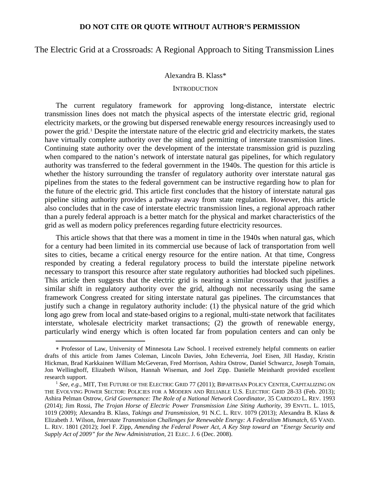The Electric Grid at a Crossroads: A Regional Approach to Siting Transmission Lines

### Alexandra B. Klass\*

#### **INTRODUCTION**

The current regulatory framework for approving long-distance, interstate electric transmission lines does not match the physical aspects of the interstate electric grid, regional electricity markets, or the growing but dispersed renewable energy resources increasingly used to power the grid.[1](#page-0-0) Despite the interstate nature of the electric grid and electricity markets, the states have virtually complete authority over the siting and permitting of interstate transmission lines. Continuing state authority over the development of the interstate transmission grid is puzzling when compared to the nation's network of interstate natural gas pipelines, for which regulatory authority was transferred to the federal government in the 1940s. The question for this article is whether the history surrounding the transfer of regulatory authority over interstate natural gas pipelines from the states to the federal government can be instructive regarding how to plan for the future of the electric grid. This article first concludes that the history of interstate natural gas pipeline siting authority provides a pathway away from state regulation. However, this article also concludes that in the case of interstate electric transmission lines, a regional approach rather than a purely federal approach is a better match for the physical and market characteristics of the grid as well as modern policy preferences regarding future electricity resources.

This article shows that that there was a moment in time in the 1940s when natural gas, which for a century had been limited in its commercial use because of lack of transportation from well sites to cities, became a critical energy resource for the entire nation. At that time, Congress responded by creating a federal regulatory process to build the interstate pipeline network necessary to transport this resource after state regulatory authorities had blocked such pipelines. This article then suggests that the electric grid is nearing a similar crossroads that justifies a similar shift in regulatory authority over the grid, although not necessarily using the same framework Congress created for siting interstate natural gas pipelines. The circumstances that justify such a change in regulatory authority include: (1) the physical nature of the grid which long ago grew from local and state-based origins to a regional, multi-state network that facilitates interstate, wholesale electricity market transactions; (2) the growth of renewable energy, particularly wind energy which is often located far from population centers and can only be

<span id="page-0-0"></span><sup>∗</sup> Professor of Law, University of Minnesota Law School. I received extremely helpful comments on earlier drafts of this article from James Coleman, Lincoln Davies, John Echeverria, Joel Eisen, Jill Hasday, Kristin Hickman, Brad Karkkainen William McGeveran, Fred Morrison, Ashira Ostrow, Daniel Schwarcz, Joseph Tomain, Jon Wellinghoff, Elizabeth Wilson, Hannah Wiseman, and Joel Zipp. Danielle Meinhardt provided excellent research support.

<sup>1</sup> *See, e.g.,* MIT, THE FUTURE OF THE ELECTRIC GRID 77 (2011); BIPARTISAN POLICY CENTER, CAPITALIZING ON THE EVOLVING POWER SECTOR: POLICIES FOR A MODERN AND RELIABLE U.S. ELECTRIC GRID 28-33 (Feb. 2013); Ashira Pelman Ostrow, *Grid Governance: The Role of a National Network Coordinator*, 35 CARDOZO L. REV. 1993 (2014); Jim Rossi, *The Trojan Horse of Electric Power Transmission Line Siting Authority*, 39 ENVTL. L. 1015, 1019 (2009); Alexandra B. Klass, *Takings and Transmission*, 91 N.C. L. REV. 1079 (2013); Alexandra B. Klass & Elizabeth J. Wilson, *Interstate Transmission Challenges for Renewable Energy: A Federalism Mismatch*, 65 VAND. L. REV. 1801 (2012); Joel F. Zipp, *Amending the Federal Power Act, A Key Step toward an "Energy Security and Supply Act of 2009" for the New Administration*, 21 ELEC. J. 6 (Dec. 2008).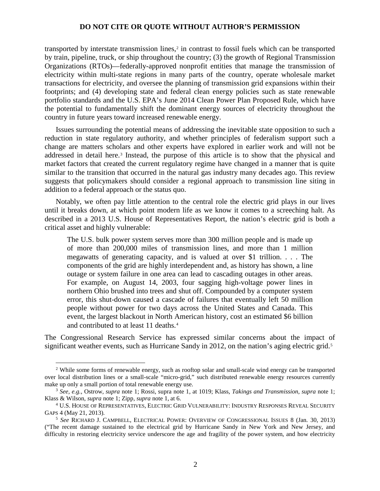transported by interstate transmission lines,<sup>[2](#page-1-0)</sup> in contrast to fossil fuels which can be transported by train, pipeline, truck, or ship throughout the country; (3) the growth of Regional Transmission Organizations (RTOs)—federally-approved nonprofit entities that manage the transmission of electricity within multi-state regions in many parts of the country, operate wholesale market transactions for electricity, and oversee the planning of transmission grid expansions within their footprints; and (4) developing state and federal clean energy policies such as state renewable portfolio standards and the U.S. EPA's June 2014 Clean Power Plan Proposed Rule, which have the potential to fundamentally shift the dominant energy sources of electricity throughout the country in future years toward increased renewable energy.

Issues surrounding the potential means of addressing the inevitable state opposition to such a reduction in state regulatory authority, and whether principles of federalism support such a change are matters scholars and other experts have explored in earlier work and will not be addressed in detail here.[3](#page-1-1) Instead, the purpose of this article is to show that the physical and market factors that created the current regulatory regime have changed in a manner that is quite similar to the transition that occurred in the natural gas industry many decades ago. This review suggests that policymakers should consider a regional approach to transmission line siting in addition to a federal approach or the status quo.

Notably, we often pay little attention to the central role the electric grid plays in our lives until it breaks down, at which point modern life as we know it comes to a screeching halt. As described in a 2013 U.S. House of Representatives Report, the nation's electric grid is both a critical asset and highly vulnerable:

The U.S. bulk power system serves more than 300 million people and is made up of more than 200,000 miles of transmission lines, and more than 1 million megawatts of generating capacity, and is valued at over \$1 trillion. . . . The components of the grid are highly interdependent and, as history has shown, a line outage or system failure in one area can lead to cascading outages in other areas. For example, on August 14, 2003, four sagging high-voltage power lines in northern Ohio brushed into trees and shut off. Compounded by a computer system error, this shut-down caused a cascade of failures that eventually left 50 million people without power for two days across the United States and Canada. This event, the largest blackout in North American history, cost an estimated \$6 billion and contributed to at least 11 deaths.[4](#page-1-2)

The Congressional Research Service has expressed similar concerns about the impact of significant weather events, such as Hurricane Sandy in 2012, on the nation's aging electric grid.<sup>[5](#page-1-3)</sup>

<span id="page-1-0"></span><sup>&</sup>lt;sup>2</sup> While some forms of renewable energy, such as rooftop solar and small-scale wind energy can be transported over local distribution lines or a small-scale "micro-grid," such distributed renewable energy resources currently make up only a small portion of total renewable energy use.

<span id="page-1-1"></span><sup>3</sup> *See, e.g.,* Ostrow, *supra* note 1; Rossi, supra note 1, at 1019; Klass, *Takings and Transmission*, *supra* note 1; Klass & Wilson, *supra* note 1; Zipp, *supra* note 1, at 6.

<span id="page-1-2"></span><sup>4</sup> U.S. HOUSE OF REPRESENTATIVES, ELECTRIC GRID VULNERABILITY: INDUSTRY RESPONSES REVEAL SECURITY GAPS 4 (May 21, 2013).

<span id="page-1-3"></span><sup>5</sup> *See* RICHARD J. CAMPBELL, ELECTRICAL POWER: OVERVIEW OF CONGRESSIONAL ISSUES 8 (Jan. 30, 2013) ("The recent damage sustained to the electrical grid by Hurricane Sandy in New York and New Jersey, and difficulty in restoring electricity service underscore the age and fragility of the power system, and how electricity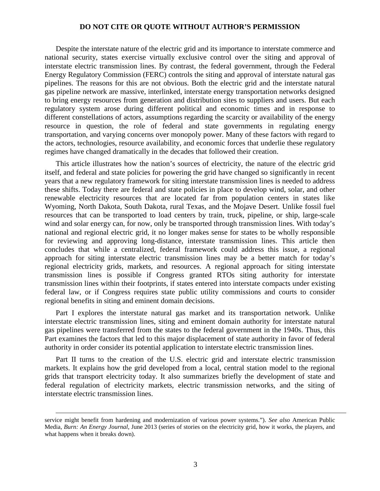Despite the interstate nature of the electric grid and its importance to interstate commerce and national security, states exercise virtually exclusive control over the siting and approval of interstate electric transmission lines. By contrast, the federal government, through the Federal Energy Regulatory Commission (FERC) controls the siting and approval of interstate natural gas pipelines. The reasons for this are not obvious. Both the electric grid and the interstate natural gas pipeline network are massive, interlinked, interstate energy transportation networks designed to bring energy resources from generation and distribution sites to suppliers and users. But each regulatory system arose during different political and economic times and in response to different constellations of actors, assumptions regarding the scarcity or availability of the energy resource in question, the role of federal and state governments in regulating energy transportation, and varying concerns over monopoly power. Many of these factors with regard to the actors, technologies, resource availability, and economic forces that underlie these regulatory regimes have changed dramatically in the decades that followed their creation.

This article illustrates how the nation's sources of electricity, the nature of the electric grid itself, and federal and state policies for powering the grid have changed so significantly in recent years that a new regulatory framework for siting interstate transmission lines is needed to address these shifts. Today there are federal and state policies in place to develop wind, solar, and other renewable electricity resources that are located far from population centers in states like Wyoming, North Dakota, South Dakota, rural Texas, and the Mojave Desert. Unlike fossil fuel resources that can be transported to load centers by train, truck, pipeline, or ship, large-scale wind and solar energy can, for now, only be transported through transmission lines. With today's national and regional electric grid, it no longer makes sense for states to be wholly responsible for reviewing and approving long-distance, interstate transmission lines. This article then concludes that while a centralized, federal framework could address this issue, a regional approach for siting interstate electric transmission lines may be a better match for today's regional electricity grids, markets, and resources. A regional approach for siting interstate transmission lines is possible if Congress granted RTOs siting authority for interstate transmission lines within their footprints, if states entered into interstate compacts under existing federal law, or if Congress requires state public utility commissions and courts to consider regional benefits in siting and eminent domain decisions.

Part I explores the interstate natural gas market and its transportation network. Unlike interstate electric transmission lines, siting and eminent domain authority for interstate natural gas pipelines were transferred from the states to the federal government in the 1940s. Thus, this Part examines the factors that led to this major displacement of state authority in favor of federal authority in order consider its potential application to interstate electric transmission lines.

Part II turns to the creation of the U.S. electric grid and interstate electric transmission markets. It explains how the grid developed from a local, central station model to the regional grids that transport electricity today. It also summarizes briefly the development of state and federal regulation of electricity markets, electric transmission networks, and the siting of interstate electric transmission lines.

service might benefit from hardening and modernization of various power systems."). *See also* American Public Media*, Burn: An Energy Journal*, June 2013 (series of stories on the electricity grid, how it works, the players, and what happens when it breaks down).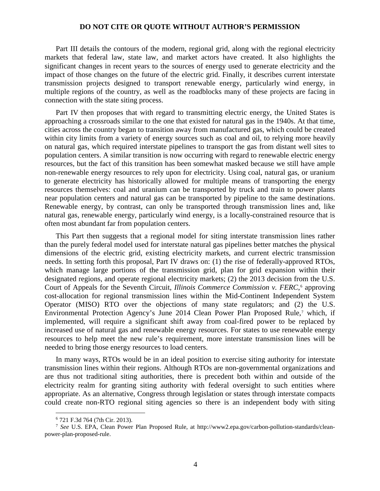Part III details the contours of the modern, regional grid, along with the regional electricity markets that federal law, state law, and market actors have created. It also highlights the significant changes in recent years to the sources of energy used to generate electricity and the impact of those changes on the future of the electric grid. Finally, it describes current interstate transmission projects designed to transport renewable energy, particularly wind energy, in multiple regions of the country, as well as the roadblocks many of these projects are facing in connection with the state siting process.

Part IV then proposes that with regard to transmitting electric energy, the United States is approaching a crossroads similar to the one that existed for natural gas in the 1940s. At that time, cities across the country began to transition away from manufactured gas, which could be created within city limits from a variety of energy sources such as coal and oil, to relying more heavily on natural gas, which required interstate pipelines to transport the gas from distant well sites to population centers. A similar transition is now occurring with regard to renewable electric energy resources, but the fact of this transition has been somewhat masked because we still have ample non-renewable energy resources to rely upon for electricity. Using coal, natural gas, or uranium to generate electricity has historically allowed for multiple means of transporting the energy resources themselves: coal and uranium can be transported by truck and train to power plants near population centers and natural gas can be transported by pipeline to the same destinations. Renewable energy, by contrast, can only be transported through transmission lines and, like natural gas, renewable energy, particularly wind energy, is a locally-constrained resource that is often most abundant far from population centers.

This Part then suggests that a regional model for siting interstate transmission lines rather than the purely federal model used for interstate natural gas pipelines better matches the physical dimensions of the electric grid, existing electricity markets, and current electric transmission needs. In setting forth this proposal, Part IV draws on: (1) the rise of federally-approved RTOs, which manage large portions of the transmission grid, plan for grid expansion within their designated regions, and operate regional electricity markets; (2) the 2013 decision from the U.S. Court of Appeals for the Seventh Circuit, *Illinois Commerce Commission v. FERC*,<sup>[6](#page-3-0)</sup> approving cost-allocation for regional transmission lines within the Mid-Continent Independent System Operator (MISO) RTO over the objections of many state regulators; and (2) the U.S. Environmental Protection Agency's June 2014 Clean Power Plan Proposed Rule,<sup>[7](#page-3-1)</sup> which, if implemented, will require a significant shift away from coal-fired power to be replaced by increased use of natural gas and renewable energy resources. For states to use renewable energy resources to help meet the new rule's requirement, more interstate transmission lines will be needed to bring those energy resources to load centers.

In many ways, RTOs would be in an ideal position to exercise siting authority for interstate transmission lines within their regions. Although RTOs are non-governmental organizations and are thus not traditional siting authorities, there is precedent both within and outside of the electricity realm for granting siting authority with federal oversight to such entities where appropriate. As an alternative, Congress through legislation or states through interstate compacts could create non-RTO regional siting agencies so there is an independent body with siting

<sup>6</sup> 721 F.3d 764 (7th Cir. 2013).

<span id="page-3-1"></span><span id="page-3-0"></span><sup>7</sup> *See* U.S. EPA, Clean Power Plan Proposed Rule, at http://www2.epa.gov/carbon-pollution-standards/cleanpower-plan-proposed-rule.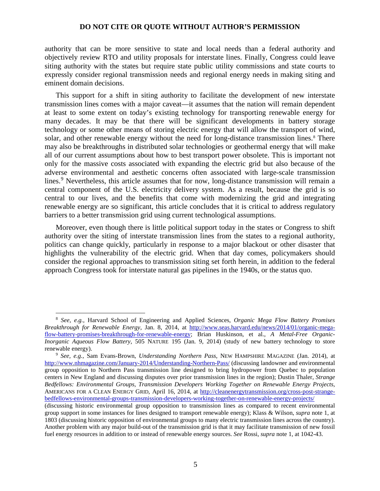authority that can be more sensitive to state and local needs than a federal authority and objectively review RTO and utility proposals for interstate lines. Finally, Congress could leave siting authority with the states but require state public utility commissions and state courts to expressly consider regional transmission needs and regional energy needs in making siting and eminent domain decisions.

This support for a shift in siting authority to facilitate the development of new interstate transmission lines comes with a major caveat—it assumes that the nation will remain dependent at least to some extent on today's existing technology for transporting renewable energy for many decades. It may be that there will be significant developments in battery storage technology or some other means of storing electric energy that will allow the transport of wind, solar, and other renewable energy without the need for long-distance transmission lines.<sup>[8](#page-4-0)</sup> There may also be breakthroughs in distributed solar technologies or geothermal energy that will make all of our current assumptions about how to best transport power obsolete. This is important not only for the massive costs associated with expanding the electric grid but also because of the adverse environmental and aesthetic concerns often associated with large-scale transmission lines.<sup>[9](#page-4-1)</sup> Nevertheless, this article assumes that for now, long-distance transmission will remain a central component of the U.S. electricity delivery system. As a result, because the grid is so central to our lives, and the benefits that come with modernizing the grid and integrating renewable energy are so significant, this article concludes that it is critical to address regulatory barriers to a better transmission grid using current technological assumptions.

Moreover, even though there is little political support today in the states or Congress to shift authority over the siting of interstate transmission lines from the states to a regional authority, politics can change quickly, particularly in response to a major blackout or other disaster that highlights the vulnerability of the electric grid. When that day comes, policymakers should consider the regional approaches to transmission siting set forth herein, in addition to the federal approach Congress took for interstate natural gas pipelines in the 1940s, or the status quo.

<span id="page-4-0"></span><sup>8</sup> *See, e.g.,* Harvard School of Engineering and Applied Sciences, *Organic Mega Flow Battery Promises Breakthrough for Renewable Energy*, Jan. 8, 2014, at [http://www.seas.harvard.edu/news/2014/01/organic-mega](http://www.seas.harvard.edu/news/2014/01/organic-mega-flow-battery-promises-breakthrough-for-renewable-energy)[flow-battery-promises-breakthrough-for-renewable-energy;](http://www.seas.harvard.edu/news/2014/01/organic-mega-flow-battery-promises-breakthrough-for-renewable-energy) Brian Huskinson, et al., *A Metal-Free Organic-Inorganic Aqueous Flow Battery*, 505 NATURE 195 (Jan. 9, 2014) (study of new battery technology to store renewable energy).

<span id="page-4-1"></span><sup>9</sup> *See, e.g.,* Sam Evans-Brown, *Understanding Northern Pass*, NEW HAMPSHIRE MAGAZINE (Jan. 2014), at <http://www.nhmagazine.com/January-2014/Understanding-Northern-Pass/> (discussing landowner and environmental group opposition to Northern Pass transmission line designed to bring hydropower from Quebec to population centers in New England and discussing disputes over prior transmission lines in the region); Dustin Thaler, *Strange Bedfellows: Environmental Groups, Transmission Developers Working Together on Renewable Energy Projects*, AMERICANS FOR A CLEAN ENERGY GRID, April 16, 2014, at [http://cleanenergytransmission.org/cross-post-strange](http://cleanenergytransmission.org/cross-post-strange-bedfellows-environmental-groups-transmission-developers-working-together-on-renewable-energy-projects/)[bedfellows-environmental-groups-transmission-developers-working-together-on-renewable-energy-projects/](http://cleanenergytransmission.org/cross-post-strange-bedfellows-environmental-groups-transmission-developers-working-together-on-renewable-energy-projects/)

<sup>(</sup>discussing historic environmental group opposition to transmission lines as compared to recent environmental group support in some instances for lines designed to transport renewable energy); Klass & Wilson, *supra* note 1, at 1803 (discussing historic opposition of environmental groups to many electric transmission lines across the country). Another problem with any major build-out of the transmission grid is that it may facilitate transmission of new fossil fuel energy resources in addition to or instead of renewable energy sources. *See* Rossi, *supra* note 1, at 1042-43.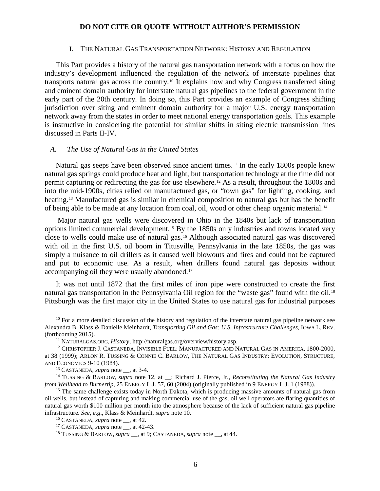#### I. THE NATURAL GAS TRANSPORTATION NETWORK: HISTORY AND REGULATION

This Part provides a history of the natural gas transportation network with a focus on how the industry's development influenced the regulation of the network of interstate pipelines that transports natural gas across the country.[10](#page-5-0) It explains how and why Congress transferred siting and eminent domain authority for interstate natural gas pipelines to the federal government in the early part of the 20th century. In doing so, this Part provides an example of Congress shifting jurisdiction over siting and eminent domain authority for a major U.S. energy transportation network away from the states in order to meet national energy transportation goals. This example is instructive in considering the potential for similar shifts in siting electric transmission lines discussed in Parts II-IV.

#### *A. The Use of Natural Gas in the United States*

Natural gas seeps have been observed since ancient times.<sup>[11](#page-5-1)</sup> In the early 1800s people knew natural gas springs could produce heat and light, but transportation technology at the time did not permit capturing or redirecting the gas for use elsewhere.[12](#page-5-2) As a result, throughout the 1800s and into the mid-1900s, cities relied on manufactured gas, or "town gas" for lighting, cooking, and heating.[13](#page-5-3) Manufactured gas is similar in chemical composition to natural gas but has the benefit of being able to be made at any location from coal, oil, wood or other cheap organic material.[14](#page-5-4)

Major natural gas wells were discovered in Ohio in the 1840s but lack of transportation options limited commercial development.[15](#page-5-5) By the 1850s only industries and towns located very close to wells could make use of natural gas.[16](#page-5-6) Although associated natural gas was discovered with oil in the first U.S. oil boom in Titusville, Pennsylvania in the late 1850s, the gas was simply a nuisance to oil drillers as it caused well blowouts and fires and could not be captured and put to economic use. As a result, when drillers found natural gas deposits without accompanying oil they were usually abandoned.[17](#page-5-7)

It was not until 1872 that the first miles of iron pipe were constructed to create the first natural gas transportation in the Pennsylvania Oil region for the "waste gas" found with the oil.<sup>[18](#page-5-8)</sup> Pittsburgh was the first major city in the United States to use natural gas for industrial purposes

<span id="page-5-0"></span> $10$  For a more detailed discussion of the history and regulation of the interstate natural gas pipeline network see Alexandra B. Klass & Danielle Meinhardt, *Transporting Oil and Gas: U.S. Infrastructure Challenges*, IOWA L. REV. (forthcoming 2015).

<sup>11</sup> NATURALGAS.ORG, *History*, http://naturalgas.org/overview/history.asp.

<span id="page-5-2"></span><span id="page-5-1"></span><sup>&</sup>lt;sup>12</sup> CHRISTOPHER J. CASTANEDA, INVISIBLE FUEL: MANUFACTURED AND NATURAL GAS IN AMERICA, 1800-2000, at 38 (1999); ARLON R. TUSSING & CONNIE C. BARLOW, THE NATURAL GAS INDUSTRY: EVOLUTION, STRUCTURE, AND ECONOMICS 9-10 (1984).

<sup>13</sup> CASTANEDA, *supra* note \_\_, at 3-4.

<span id="page-5-4"></span><span id="page-5-3"></span><sup>&</sup>lt;sup>14</sup> TUSSING & BARLOW, *supra* note 12, at \_; Richard J. Pierce, Jr., *Reconstituting the Natural Gas Industry from Wellhead to Burnertip*, 25 ENERGY L.J. 57, 60 (2004) (originally published in 9 ENERGY L.J. 1 (1988)).

<span id="page-5-6"></span><span id="page-5-5"></span><sup>&</sup>lt;sup>15</sup> The same challenge exists today in North Dakota, which is producing massive amounts of natural gas from oil wells, but instead of capturing and making commercial use of the gas, oil well operators are flaring quantities of natural gas worth \$100 million per month into the atmosphere because of the lack of sufficient natural gas pipeline infrastructure. *See, e.g*., Klass & Meinhardt, *supra* note 10.

<sup>16</sup> CASTANEDA, *supra* note \_\_, at 42*.*

<span id="page-5-7"></span><sup>&</sup>lt;sup>17</sup> CASTANEDA, *supra* note , at 42-43.

<span id="page-5-8"></span><sup>18</sup> TUSSING & BARLOW, *supra* \_\_, at 9; CASTANEDA, *supra* note \_\_, at 44.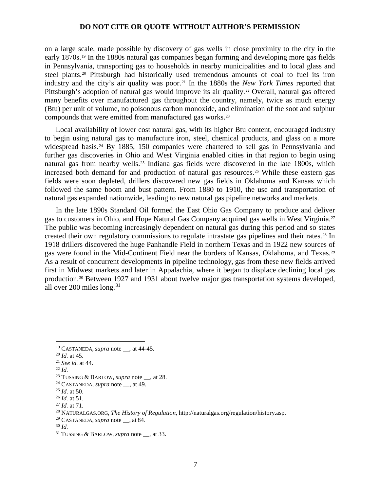on a large scale, made possible by discovery of gas wells in close proximity to the city in the early 1870s.[19](#page-6-0) In the 1880s natural gas companies began forming and developing more gas fields in Pennsylvania, transporting gas to households in nearby municipalities and to local glass and steel plants.<sup>[20](#page-6-1)</sup> Pittsburgh had historically used tremendous amounts of coal to fuel its iron industry and the city's air quality was poor.[21](#page-6-2) In the 1880s the *New York Times* reported that Pittsburgh's adoption of natural gas would improve its air quality.<sup>[22](#page-6-3)</sup> Overall, natural gas offered many benefits over manufactured gas throughout the country, namely, twice as much energy (Btu) per unit of volume, no poisonous carbon monoxide, and elimination of the soot and sulphur compounds that were emitted from manufactured gas works.[23](#page-6-4)

Local availability of lower cost natural gas, with its higher Btu content, encouraged industry to begin using natural gas to manufacture iron, steel, chemical products, and glass on a more widespread basis.<sup>[24](#page-6-5)</sup> By 1885, 150 companies were chartered to sell gas in Pennsylvania and further gas discoveries in Ohio and West Virginia enabled cities in that region to begin using natural gas from nearby wells.[25](#page-6-6) Indiana gas fields were discovered in the late 1800s, which increased both demand for and production of natural gas resources.[26](#page-6-7) While these eastern gas fields were soon depleted, drillers discovered new gas fields in Oklahoma and Kansas which followed the same boom and bust pattern. From 1880 to 1910, the use and transportation of natural gas expanded nationwide, leading to new natural gas pipeline networks and markets.

In the late 1890s Standard Oil formed the East Ohio Gas Company to produce and deliver gas to customers in Ohio, and Hope Natural Gas Company acquired gas wells in West Virginia.[27](#page-6-8) The public was becoming increasingly dependent on natural gas during this period and so states created their own regulatory commissions to regulate intrastate gas pipelines and their rates.<sup>[28](#page-6-9)</sup> In 1918 drillers discovered the huge Panhandle Field in northern Texas and in 1922 new sources of gas were found in the Mid-Continent Field near the borders of Kansas, Oklahoma, and Texas.[29](#page-6-10) As a result of concurrent developments in pipeline technology, gas from these new fields arrived first in Midwest markets and later in Appalachia, where it began to displace declining local gas production.[30](#page-6-11) Between 1927 and 1931 about twelve major gas transportation systems developed, all over 200 miles long. $31$ 

<sup>22</sup> *Id.*

<span id="page-6-1"></span><span id="page-6-0"></span><sup>19</sup> CASTANEDA, *supra* note \_\_, at 44-45. 20 *Id.* at 45.

<span id="page-6-2"></span><sup>21</sup> *See id.* at 44.

<span id="page-6-4"></span><span id="page-6-3"></span><sup>23</sup> TUSSING & BARLOW, *supra* note \_\_, at 28.

<span id="page-6-5"></span><sup>&</sup>lt;sup>24</sup> CASTANEDA, *supra* note  $\alpha$ , at 49.

<span id="page-6-6"></span><sup>25</sup> *Id*. at 50.

<span id="page-6-7"></span><sup>26</sup> *Id.* at 51.

<span id="page-6-8"></span><sup>27</sup> *Id.* at 71.

<span id="page-6-10"></span><span id="page-6-9"></span><sup>28</sup> NATURALGAS.ORG, *The History of Regulation*, http://naturalgas.org/regulation/history.asp. 29 CASTANEDA, *supra* note \_\_, at 84. 30 *Id.*

<span id="page-6-11"></span>

<span id="page-6-12"></span><sup>&</sup>lt;sup>31</sup> TUSSING & BARLOW, *supra* note . at 33.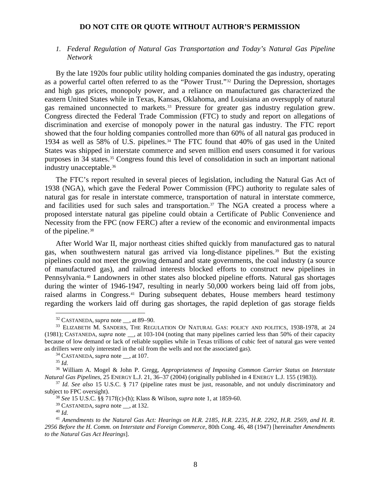# *1. Federal Regulation of Natural Gas Transportation and Today's Natural Gas Pipeline Network*

By the late 1920s four public utility holding companies dominated the gas industry, operating as a powerful cartel often referred to as the "Power Trust."[32](#page-7-0) During the Depression, shortages and high gas prices, monopoly power, and a reliance on manufactured gas characterized the eastern United States while in Texas, Kansas, Oklahoma, and Louisiana an oversupply of natural gas remained unconnected to markets.<sup>[33](#page-7-1)</sup> Pressure for greater gas industry regulation grew. Congress directed the Federal Trade Commission (FTC) to study and report on allegations of discrimination and exercise of monopoly power in the natural gas industry. The FTC report showed that the four holding companies controlled more than 60% of all natural gas produced in 1934 as well as 58% of U.S. pipelines.[34](#page-7-2) The FTC found that 40% of gas used in the United States was shipped in interstate commerce and seven million end users consumed it for various purposes in 34 states.[35](#page-7-3) Congress found this level of consolidation in such an important national industry unacceptable.<sup>[36](#page-7-4)</sup>

The FTC's report resulted in several pieces of legislation, including the Natural Gas Act of 1938 (NGA), which gave the Federal Power Commission (FPC) authority to regulate sales of natural gas for resale in interstate commerce, transportation of natural in interstate commerce, and facilities used for such sales and transportation.[37](#page-7-5) The NGA created a process where a proposed interstate natural gas pipeline could obtain a Certificate of Public Convenience and Necessity from the FPC (now FERC) after a review of the economic and environmental impacts of the pipeline.<sup>[38](#page-7-6)</sup>

After World War II, major northeast cities shifted quickly from manufactured gas to natural gas, when southwestern natural gas arrived via long-distance pipelines.<sup>[39](#page-7-7)</sup> But the existing pipelines could not meet the growing demand and state governments, the coal industry (a source of manufactured gas), and railroad interests blocked efforts to construct new pipelines in Pennsylvania.[40](#page-7-8) Landowners in other states also blocked pipeline efforts. Natural gas shortages during the winter of 1946-1947, resulting in nearly 50,000 workers being laid off from jobs, raised alarms in Congress.[41](#page-7-9) During subsequent debates, House members heard testimony regarding the workers laid off during gas shortages, the rapid depletion of gas storage fields

<span id="page-7-1"></span><span id="page-7-0"></span><sup>&</sup>lt;sup>32</sup> CASTANEDA, *supra* note \_\_, at 89–90.<br><sup>33</sup> ELIZABETH M. SANDERS, THE REGULATION OF NATURAL GAS: POLICY AND POLITICS, 1938-1978, at 24 (1981); CASTANEDA, *supra* note \_\_, at 103-104 (noting that many pipelines carried less than 50% of their capacity because of low demand or lack of reliable supplies while in Texas trillions of cubic feet of natural gas were vented as drillers were only interested in the oil from the wells and not the associated gas). 34 CASTANEDA, *supra* note \_\_, at 107.

<sup>35</sup> *Id.*

<span id="page-7-4"></span><span id="page-7-3"></span><span id="page-7-2"></span><sup>36</sup> William A. Mogel & John P. Gregg, *Appropriateness of Imposing Common Carrier Status on Interstate Natural Gas Pipelines*, 25 ENERGY L.J. 21, 36–37 (2004) (originally published in 4 ENERGY L.J. 155 (1983)).<br><sup>37</sup> Id. See also 15 U.S.C. § 717 (pipeline rates must be just, reasonable, and not unduly discriminatory and

<span id="page-7-6"></span><span id="page-7-5"></span>subject to FPC oversight). 38 *See* 15 U.S.C. §§ 717f(c)-(h); Klass & Wilson, *supra* note 1, at 1859-60.

<sup>39</sup> CASTANEDA, *supra* note \_\_, at 132. 40 *Id.*

<span id="page-7-9"></span><span id="page-7-8"></span><span id="page-7-7"></span><sup>41</sup> *Amendments to the Natural Gas Act: Hearings on H.R. 2185, H.R. 2235, H.R. 2292, H.R. 2569, and H. R. 2956 Before the H. Comm. on Interstate and Foreign Commerce*, 80th Cong. 46, 48 (1947) [hereinafter *Amendments to the Natural Gas Act Hearings*].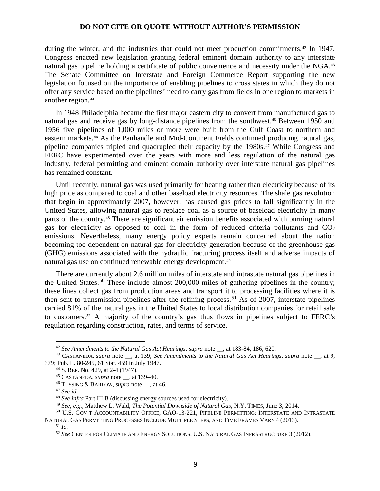during the winter, and the industries that could not meet production commitments.[42](#page-8-0) In 1947, Congress enacted new legislation granting federal eminent domain authority to any interstate natural gas pipeline holding a certificate of public convenience and necessity under the NGA.[43](#page-8-1) The Senate Committee on Interstate and Foreign Commerce Report supporting the new legislation focused on the importance of enabling pipelines to cross states in which they do not offer any service based on the pipelines' need to carry gas from fields in one region to markets in another region.[44](#page-8-2)

In 1948 Philadelphia became the first major eastern city to convert from manufactured gas to natural gas and receive gas by long-distance pipelines from the southwest.<sup>[45](#page-8-3)</sup> Between 1950 and 1956 five pipelines of 1,000 miles or more were built from the Gulf Coast to northern and eastern markets.[46](#page-8-4) As the Panhandle and Mid-Continent Fields continued producing natural gas, pipeline companies tripled and quadrupled their capacity by the 1980s.<sup>[47](#page-8-5)</sup> While Congress and FERC have experimented over the years with more and less regulation of the natural gas industry, federal permitting and eminent domain authority over interstate natural gas pipelines has remained constant.

Until recently, natural gas was used primarily for heating rather than electricity because of its high price as compared to coal and other baseload electricity resources. The shale gas revolution that begin in approximately 2007, however, has caused gas prices to fall significantly in the United States, allowing natural gas to replace coal as a source of baseload electricity in many parts of the country.[48](#page-8-6) There are significant air emission benefits associated with burning natural gas for electricity as opposed to coal in the form of reduced criteria pollutants and  $CO<sub>2</sub>$ emissions. Nevertheless, many energy policy experts remain concerned about the nation becoming too dependent on natural gas for electricity generation because of the greenhouse gas (GHG) emissions associated with the hydraulic fracturing process itself and adverse impacts of natural gas use on continued renewable energy development.[49](#page-8-7)

There are currently about 2.6 million miles of interstate and intrastate natural gas pipelines in the United States.<sup>[50](#page-8-8)</sup> These include almost  $200,000$  miles of gathering pipelines in the country; these lines collect gas from production areas and transport it to processing facilities where it is then sent to transmission pipelines after the refining process.<sup>[51](#page-8-9)</sup> As of 2007, interstate pipelines carried 81% of the natural gas in the United States to local distribution companies for retail sale to customers.[52](#page-8-10) A majority of the country's gas thus flows in pipelines subject to FERC's regulation regarding construction, rates, and terms of service.

 $\overline{a}$ 

<sup>49</sup> *See, e.g.,* Matthew L. Wald, *The Potential Downside of Natural Gas*, N.Y. TIMES, June 3, 2014.

<sup>&</sup>lt;sup>42</sup> *See Amendments to the Natural Gas Act Hearings, supra* note , at 183-84, 186, 620.

<span id="page-8-4"></span><span id="page-8-3"></span><span id="page-8-2"></span><span id="page-8-1"></span><span id="page-8-0"></span><sup>43</sup> CASTANEDA, *supra* note \_\_, at 139; *See Amendments to the Natural Gas Act Hearings*, *supra* note \_\_, at 9, 379; Pub. L. 80-245, 61 Stat. 459 in July 1947.

<sup>44</sup> S. REP. No. 429, at 2-4 (1947).

<sup>45</sup> CASTANEDA, *supra* note \_\_, at 139–40. 46 TUSSING & BARLOW, *supra* note \_\_, at 46.

<sup>47</sup> *See id.*

<sup>48</sup> *See infra* Part III.B (discussing energy sources used for electricity).

<span id="page-8-10"></span><span id="page-8-9"></span><span id="page-8-8"></span><span id="page-8-7"></span><span id="page-8-6"></span><span id="page-8-5"></span><sup>50</sup> U.S. GOV'T ACCOUNTABILITY OFFICE, GAO-13-221, PIPELINE PERMITTING: INTERSTATE AND INTRASTATE NATURAL GAS PERMITTING PROCESSES INCLUDE MULTIPLE STEPS, AND TIME FRAMES VARY 4 (2013).

<sup>51</sup> *Id.*

<sup>52</sup> *See* CENTER FOR CLIMATE AND ENERGY SOLUTIONS, U.S. NATURAL GAS INFRASTRUCTURE 3 (2012).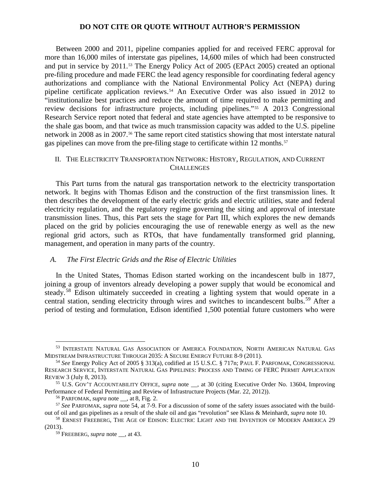Between 2000 and 2011, pipeline companies applied for and received FERC approval for more than 16,000 miles of interstate gas pipelines, 14,600 miles of which had been constructed and put in service by 2011.[53](#page-9-0) The Energy Policy Act of 2005 (EPAct 2005) created an optional pre-filing procedure and made FERC the lead agency responsible for coordinating federal agency authorizations and compliance with the National Environmental Policy Act (NEPA) during pipeline certificate application reviews.<sup>[54](#page-9-1)</sup> An Executive Order was also issued in 2012 to "institutionalize best practices and reduce the amount of time required to make permitting and review decisions for infrastructure projects, including pipelines."[55](#page-9-2) A 2013 Congressional Research Service report noted that federal and state agencies have attempted to be responsive to the shale gas boom, and that twice as much transmission capacity was added to the U.S. pipeline network in 2008 as in 2007.[56](#page-9-3) The same report cited statistics showing that most interstate natural gas pipelines can move from the pre-filing stage to certificate within 12 months.<sup>[57](#page-9-4)</sup>

# II. THE ELECTRICITY TRANSPORTATION NETWORK: HISTORY, REGULATION, AND CURRENT **CHALLENGES**

This Part turns from the natural gas transportation network to the electricity transportation network. It begins with Thomas Edison and the construction of the first transmission lines. It then describes the development of the early electric grids and electric utilities, state and federal electricity regulation, and the regulatory regime governing the siting and approval of interstate transmission lines. Thus, this Part sets the stage for Part III, which explores the new demands placed on the grid by policies encouraging the use of renewable energy as well as the new regional grid actors, such as RTOs, that have fundamentally transformed grid planning, management, and operation in many parts of the country.

### *A. The First Electric Grids and the Rise of Electric Utilities*

In the United States, Thomas Edison started working on the incandescent bulb in 1877, joining a group of inventors already developing a power supply that would be economical and steady.<sup>[58](#page-9-5)</sup> Edison ultimately succeeded in creating a lighting system that would operate in a central station, sending electricity through wires and switches to incandescent bulbs.<sup>[59](#page-9-6)</sup> After a period of testing and formulation, Edison identified 1,500 potential future customers who were

<span id="page-9-0"></span><sup>53</sup> INTERSTATE NATURAL GAS ASSOCIATION OF AMERICA FOUNDATION, NORTH AMERICAN NATURAL GAS MIDSTREAM INFRASTRUCTURE THROUGH 2035: A SECURE ENERGY FUTURE 8-9 (2011).

<span id="page-9-1"></span><sup>54</sup> *See* Energy Policy Act of 2005 § 313(a), codified at 15 U.S.C. § 717n; PAUL F. PARFOMAK, CONGRESSIONAL RESEARCH SERVICE, INTERSTATE NATURAL GAS PIPELINES: PROCESS AND TIMING OF FERC PERMIT APPLICATION REVIEW 3 (July 8, 2013).

<span id="page-9-2"></span><sup>55</sup> U.S. GOV'T ACCOUNTABILITY OFFICE, *supra* note \_\_, at 30 (citing Executive Order No. 13604, Improving Performance of Federal Permitting and Review of Infrastructure Projects (Mar. 22, 2012)).

<sup>56</sup> PARFOMAK, *supra* note \_\_, at 8, Fig. 2.

<span id="page-9-4"></span><span id="page-9-3"></span><sup>57</sup> *See* PARFOMAK, *supra* note 54, at 7-9. For a discussion of some of the safety issues associated with the buildout of oil and gas pipelines as a result of the shale oil and gas "revolution" see Klass & Meinhardt, *supra* note 10.

<span id="page-9-6"></span><span id="page-9-5"></span><sup>58</sup> ERNEST FREEBERG, THE AGE OF EDISON: ELECTRIC LIGHT AND THE INVENTION OF MODERN AMERICA 29 (2013).

<sup>59</sup> FREEBERG, *supra* note \_\_, at 43.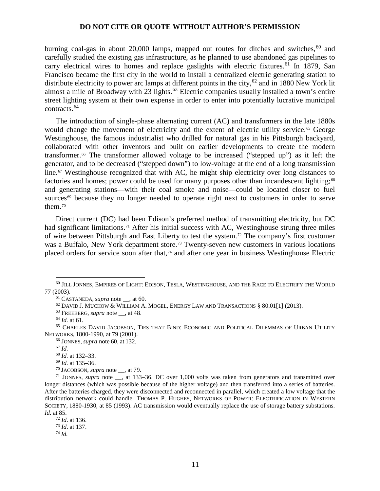burning coal-gas in about  $20,000$  lamps, mapped out routes for ditches and switches.<sup>[60](#page-10-0)</sup> and carefully studied the existing gas infrastructure, as he planned to use abandoned gas pipelines to carry electrical wires to homes and replace gaslights with electric fixtures.<sup>[61](#page-10-1)</sup> In 1879, San Francisco became the first city in the world to install a centralized electric generating station to distribute electricity to power arc lamps at different points in the city,<sup>[62](#page-10-2)</sup> and in 1880 New York lit almost a mile of Broadway with 23 lights.<sup>[63](#page-10-3)</sup> Electric companies usually installed a town's entire street lighting system at their own expense in order to enter into potentially lucrative municipal contracts.[64](#page-10-4)

The introduction of single-phase alternating current (AC) and transformers in the late 1880s would change the movement of electricity and the extent of electric utility service.<sup>[65](#page-10-5)</sup> George Westinghouse, the famous industrialist who drilled for natural gas in his Pittsburgh backyard, collaborated with other inventors and built on earlier developments to create the modern transformer.[66](#page-10-6) The transformer allowed voltage to be increased ("stepped up") as it left the generator, and to be decreased ("stepped down") to low-voltage at the end of a long transmission line.<sup>[67](#page-10-7)</sup> Westinghouse recognized that with AC, he might ship electricity over long distances to factories and homes; power could be used for many purposes other than incandescent lighting;<sup>[68](#page-10-8)</sup> and generating stations—with their coal smoke and noise—could be located closer to fuel sources $69$  because they no longer needed to operate right next to customers in order to serve them.[70](#page-10-10)

Direct current (DC) had been Edison's preferred method of transmitting electricity, but DC had significant limitations.<sup>[71](#page-10-11)</sup> After his initial success with AC, Westinghouse strung three miles of wire between Pittsburgh and East Liberty to test the system.[72](#page-10-12) The company's first customer was a Buffalo, New York department store.<sup>[73](#page-10-13)</sup> Twenty-seven new customers in various locations placed orders for service soon after that, $74$  and after one year in business Westinghouse Electric

<sup>63</sup> FREEBERG, *supra* note , at 48.

<sup>66</sup> JONNES, *supra* note 60, at 132.

 $\overline{a}$ 

 $^{69}$  *Id.* at 135–36.<br><sup>70</sup> JACOBSON, *supra* note <sub>\_\_</sub>, at 79.

<span id="page-10-14"></span><span id="page-10-13"></span><span id="page-10-12"></span><sup>72</sup> *Id*. at 136. <sup>73</sup> *Id*. at 137. <sup>74</sup> *Id.*

<span id="page-10-1"></span><span id="page-10-0"></span> $^{60}$  Jill Jonnes, Empires of Light: Edison, Tesla, Westinghouse, and the Race to Electrify the World 77 (2003).

<sup>&</sup>lt;sup>61</sup> CASTANEDA, *supra* note , at 60.

 $62$  DAVID J. MUCHOW & WILLIAM A. MOGEL, ENERGY LAW AND TRANSACTIONS § 80.01[1] (2013).

<sup>64</sup> *Id.* at 61.

<span id="page-10-7"></span><span id="page-10-6"></span><span id="page-10-5"></span><span id="page-10-4"></span><span id="page-10-3"></span><span id="page-10-2"></span><sup>65</sup> CHARLES DAVID JACOBSON, TIES THAT BIND: ECONOMIC AND POLITICAL DILEMMAS OF URBAN UTILITY NETWORKS, 1800-1990, at 79 (2001).

<sup>67</sup> *Id.*

<sup>68</sup> *Id.* at 132–33.

<span id="page-10-11"></span><span id="page-10-10"></span><span id="page-10-9"></span><span id="page-10-8"></span><sup>&</sup>lt;sup>71</sup> JONNES, *supra* note <sub>\_\_</sub>, at 133–36. DC over 1,000 volts was taken from generators and transmitted over longer distances (which was possible because of the higher voltage) and then transferred into a series of batteries. After the batteries charged, they were disconnected and reconnected in parallel, which created a low voltage that the distribution network could handle. THOMAS P. HUGHES, NETWORKS OF POWER: ELECTRIFICATION IN WESTERN SOCIETY, 1880-1930, at 85 (1993). AC transmission would eventually replace the use of storage battery substations. *Id.* at 85.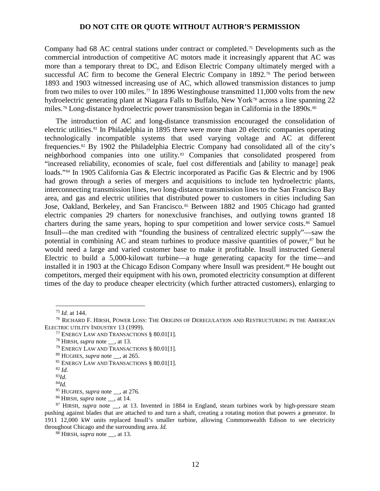Company had 68 AC central stations under contract or completed.[75](#page-11-0) Developments such as the commercial introduction of competitive AC motors made it increasingly apparent that AC was more than a temporary threat to DC, and Edison Electric Company ultimately merged with a successful AC firm to become the General Electric Company in 1892.<sup>[76](#page-11-1)</sup> The period between 1893 and 1903 witnessed increasing use of AC, which allowed transmission distances to jump from two miles to over 100 miles.<sup>[77](#page-11-2)</sup> In 1896 Westinghouse transmitted 11,000 volts from the new hydroelectric generating plant at Niagara Falls to Buffalo, New York<sup>[78](#page-11-3)</sup> across a line spanning 22 miles.<sup>[79](#page-11-4)</sup> Long-distance hydroelectric power transmission began in California in the 1890s.<sup>[80](#page-11-5)</sup>

The introduction of AC and long-distance transmission encouraged the consolidation of electric utilities.<sup>[81](#page-11-6)</sup> In Philadelphia in 1895 there were more than 20 electric companies operating technologically incompatible systems that used varying voltage and AC at different frequencies.[82](#page-11-7) By 1902 the Philadelphia Electric Company had consolidated all of the city's neighborhood companies into one utility.[83](#page-11-8) Companies that consolidated prospered from "increased reliability, economies of scale, fuel cost differentials and [ability to manage] peak loads."[84](#page-11-9) In 1905 California Gas & Electric incorporated as Pacific Gas & Electric and by 1906 had grown through a series of mergers and acquisitions to include ten hydroelectric plants, interconnecting transmission lines, two long-distance transmission lines to the San Francisco Bay area, and gas and electric utilities that distributed power to customers in cities including San Jose, Oakland, Berkeley, and San Francisco.<sup>[85](#page-11-10)</sup> Between 1882 and 1905 Chicago had granted electric companies 29 charters for nonexclusive franchises, and outlying towns granted 18 charters during the same years, hoping to spur competition and lower service costs.<sup>[86](#page-11-11)</sup> Samuel Insull—the man credited with "founding the business of centralized electric supply"—saw the potential in combining AC and steam turbines to produce massive quantities of power, $\frac{87}{10}$  $\frac{87}{10}$  $\frac{87}{10}$  but he would need a large and varied customer base to make it profitable. Insull instructed General Electric to build a 5,000-kilowatt turbine—a huge generating capacity for the time—and installed it in 1903 at the Chicago Edison Company where Insull was president.<sup>[88](#page-11-13)</sup> He bought out competitors, merged their equipment with his own, promoted electricity consumption at different times of the day to produce cheaper electricity (which further attracted customers), enlarging to

<sup>75</sup> *Id.* at 144.

<span id="page-11-4"></span><span id="page-11-3"></span><span id="page-11-2"></span><span id="page-11-1"></span><span id="page-11-0"></span><sup>76</sup> RICHARD F. HIRSH, POWER LOSS: THE ORIGINS OF DEREGULATION AND RESTRUCTURING IN THE AMERICAN ELECTRIC UTILITY INDUSTRY 13 (1999).

<sup>77</sup> ENERGY LAW AND TRANSACTIONS § 80.01[1].

<sup>78</sup> HIRSH, *supra* note \_\_, at 13.

<sup>79</sup> ENERGY LAW AND TRANSACTIONS § 80.01[1].

<span id="page-11-5"></span><sup>80</sup> HUGHES, *supra* note \_\_, at 265.

<span id="page-11-6"></span><sup>81</sup> ENERGY LAW AND TRANSACTIONS § 80.01[1].

<span id="page-11-7"></span> $82$  *Id.* 

<sup>83</sup>*Id*.

<sup>84</sup>*Id.*

<sup>85</sup> HUGHES, *supra* note \_\_, at 276.

<sup>86</sup> HIRSH, *supra* note \_\_, at 14.

<span id="page-11-13"></span><span id="page-11-12"></span><span id="page-11-11"></span><span id="page-11-10"></span><span id="page-11-9"></span><span id="page-11-8"></span><sup>&</sup>lt;sup>87</sup> HIRSH, *supra* note <sub>\_\_</sub>, at 13. Invented in 1884 in England, steam turbines work by high-pressure steam pushing against blades that are attached to and turn a shaft, creating a rotating motion that powers a generator. In 1911 12,000 kW units replaced Insull's smaller turbine, allowing Commonwealth Edison to see electricity throughout Chicago and the surrounding area. *Id.*

<sup>88</sup> HIRSH, *supra* note \_\_, at 13.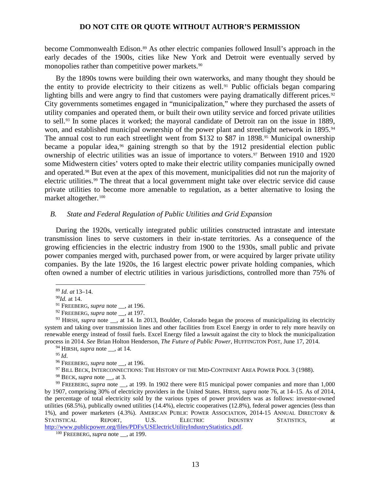become Commonwealth Edison.[89](#page-12-0) As other electric companies followed Insull's approach in the early decades of the 1900s, cities like New York and Detroit were eventually served by monopolies rather than competitive power markets.<sup>[90](#page-12-1)</sup>

By the 1890s towns were building their own waterworks, and many thought they should be the entity to provide electricity to their citizens as well.[91](#page-12-2) Public officials began comparing lighting bills and were angry to find that customers were paying dramatically different prices.<sup>[92](#page-12-3)</sup> City governments sometimes engaged in "municipalization," where they purchased the assets of utility companies and operated them, or built their own utility service and forced private utilities to sell.[93](#page-12-4) In some places it worked; the mayoral candidate of Detroit ran on the issue in 1889, won, and established municipal ownership of the power plant and streetlight network in 1895.<sup>[94](#page-12-5)</sup> The annual cost to run each streetlight went from \$132 to \$87 in 1898.<sup>[95](#page-12-6)</sup> Municipal ownership became a popular idea,<sup>[96](#page-12-7)</sup> gaining strength so that by the 1912 presidential election public ownership of electric utilities was an issue of importance to voters.[97](#page-12-8) Between 1910 and 1920 some Midwestern cities' voters opted to make their electric utility companies municipally owned and operated.[98](#page-12-9) But even at the apex of this movement, municipalities did not run the majority of electric utilities.<sup>[99](#page-12-10)</sup> The threat that a local government might take over electric service did cause private utilities to become more amenable to regulation, as a better alternative to losing the market altogether.[100](#page-12-11)

### *B. State and Federal Regulation of Public Utilities and Grid Expansion*

During the 1920s, vertically integrated public utilities constructed intrastate and interstate transmission lines to serve customers in their in-state territories. As a consequence of the growing efficiencies in the electric industry from 1900 to the 1930s, small public and private power companies merged with, purchased power from, or were acquired by larger private utility companies. By the late 1920s, the 16 largest electric power private holding companies, which often owned a number of electric utilities in various jurisdictions, controlled more than 75% of

 $\overline{a}$ 

<span id="page-12-10"></span><span id="page-12-9"></span><span id="page-12-8"></span><span id="page-12-7"></span><span id="page-12-6"></span><sup>99</sup> FREEBERG, *supra* note <sub>\_\_</sub>, at 199. In 1902 there were 815 municipal power companies and more than 1,000 by 1907, comprising 30% of electricity providers in the United States. HIRSH, *supra* note 76, at 14–15. As of 2014, the percentage of total electricity sold by the various types of power providers was as follows: investor-owned utilities (68.5%), publically owned utilities (14.4%), electric cooperatives (12.8%), federal power agencies (less than 1%), and power marketers (4.3%). AMERICAN PUBLIC POWER ASSOCIATION, 2014-15 ANNUAL DIRECTORY &<br>
STATISTICAL REPORT, U.S. ELECTRIC INDUSTRY STATISTICS, at STATISTICAL REPORT, U.S. ELECTRIC INDUSTRY STATISTICS, at [http://www.publicpower.org/files/PDFs/USElectricUtilityIndustryStatistics.pdf.](http://www.publicpower.org/files/PDFs/USElectricUtilityIndustryStatistics.pdf) 100 FREEBERG, *supra* note \_\_, at 199.

<sup>89</sup> *Id. at* 13–14.

<sup>90</sup>*Id.* at 14.

<sup>&</sup>lt;sup>91</sup> FREEBERG, *supra* note , at 196.

<sup>92</sup> FREEBERG, *supra* note \_\_, at 197.

<span id="page-12-5"></span><span id="page-12-4"></span><span id="page-12-3"></span><span id="page-12-2"></span><span id="page-12-1"></span><span id="page-12-0"></span><sup>&</sup>lt;sup>93</sup> HIRSH, *supra* note \_\_, at 14. In 2013, Boulder, Colorado began the process of municipalizing its electricity system and taking over transmission lines and other facilities from Excel Energy in order to rely more heavily on renewable energy instead of fossil fuels. Excel Energy filed a lawsuit against the city to block the municipalization process in 2014. *See* Brian Holton Henderson, *The Future of Public Power*, HUFFINGTON POST, June 17, 2014.

<sup>&</sup>lt;sup>94</sup> HIRSH, *supra* note  $\alpha$ , at 14.

<sup>95</sup> *Id*.

<sup>&</sup>lt;sup>96</sup> FREEBERG, *supra* note , at 196.

<sup>&</sup>lt;sup>97</sup> BILL BECK, INTERCONNECTIONS: THE HISTORY OF THE MID-CONTINENT AREA POWER POOL 3 (1988).

<sup>98</sup> BECK, *supra* note \_\_, at 3.

<span id="page-12-11"></span>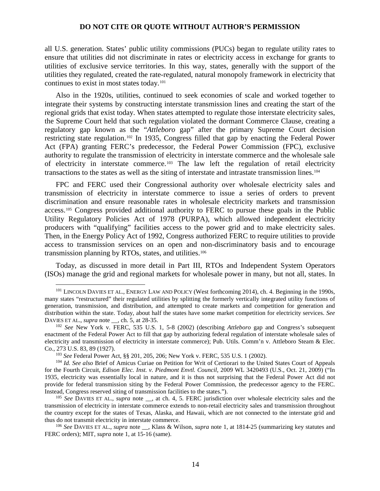all U.S. generation. States' public utility commissions (PUCs) began to regulate utility rates to ensure that utilities did not discriminate in rates or electricity access in exchange for grants to utilities of exclusive service territories. In this way, states, generally with the support of the utilities they regulated, created the rate-regulated, natural monopoly framework in electricity that continues to exist in most states today.[101](#page-13-0)

Also in the 1920s, utilities, continued to seek economies of scale and worked together to integrate their systems by constructing interstate transmission lines and creating the start of the regional grids that exist today. When states attempted to regulate those interstate electricity sales, the Supreme Court held that such regulation violated the dormant Commerce Clause, creating a regulatory gap known as the "*Attleboro* gap" after the primary Supreme Court decision restricting state regulation.[102](#page-13-1) In 1935, Congress filled that gap by enacting the Federal Power Act (FPA) granting FERC's predecessor, the Federal Power Commission (FPC), exclusive authority to regulate the transmission of electricity in interstate commerce and the wholesale sale of electricity in interstate commerce.[103](#page-13-2) The law left the regulation of retail electricity transactions to the states as well as the siting of interstate and intrastate transmission lines. [104](#page-13-3)

FPC and FERC used their Congressional authority over wholesale electricity sales and transmission of electricity in interstate commerce to issue a series of orders to prevent discrimination and ensure reasonable rates in wholesale electricity markets and transmission access.[105](#page-13-4) Congress provided additional authority to FERC to pursue these goals in the Public Utility Regulatory Policies Act of 1978 (PURPA), which allowed independent electricity producers with "qualifying" facilities access to the power grid and to make electricity sales. Then, in the Energy Policy Act of 1992, Congress authorized FERC to require utilities to provide access to transmission services on an open and non-discriminatory basis and to encourage transmission planning by RTOs, states, and utilities.[106](#page-13-5)

Today, as discussed in more detail in Part III, RTOs and Independent System Operators (ISOs) manage the grid and regional markets for wholesale power in many, but not all, states. In

<span id="page-13-0"></span><sup>&</sup>lt;sup>101</sup> LINCOLN DAVIES ET AL., ENERGY LAW AND POLICY (West forthcoming 2014), ch. 4. Beginning in the 1990s, many states "restructured" their regulated utilities by splitting the formerly vertically integrated utility functions of generation, transmission, and distribution, and attempted to create markets and competition for generation and distribution within the state. Today, about half the states have some market competition for electricity services. *See* DAVIES ET AL., *supra* note \_\_, ch. 5, at 28-35.

<span id="page-13-1"></span><sup>102</sup> *See* New York v. FERC, 535 U.S. 1, 5-8 (2002) (describing *Attleboro* gap and Congress's subsequent enactment of the Federal Power Act to fill that gap by authorizing federal regulation of interstate wholesale sales of electricity and transmission of electricity in interstate commerce); Pub. Utils. Comm'n v. Attleboro Steam & Elec. Co., 273 U.S. 83, 89 (1927).

<sup>103</sup> *See* Federal Power Act, §§ 201, 205, 206; New York v. FERC, 535 U.S. 1 (2002).

<span id="page-13-3"></span><span id="page-13-2"></span><sup>104</sup> *Id. See also* Brief of Amicus Curiae on Petition for Writ of Certiorari to the United States Court of Appeals for the Fourth Circuit, *Edison Elec. Inst. v. Piedmont Envtl. Council*, 2009 WL 3420493 (U.S., Oct. 21, 2009) ("In 1935, electricity was essentially local in nature, and it is thus not surprising that the Federal Power Act did not provide for federal transmission siting by the Federal Power Commission, the predecessor agency to the FERC. Instead, Congress reserved siting of transmission facilities to the states.").

<span id="page-13-4"></span><sup>&</sup>lt;sup>105</sup> *See* DAVIES ET AL., *supra* note \_\_, at ch. 4, 5. FERC jurisdiction over wholesale electricity sales and the transmission of electricity in interstate commerce extends to non-retail electricity sales and transmission throughout the country except for the states of Texas, Alaska, and Hawaii, which are not connected to the interstate grid and thus do not transmit electricity in interstate commerce.

<span id="page-13-5"></span><sup>106</sup> *See* DAVIES ET AL., *supra* note \_\_, Klass & Wilson, *supra* note 1, at 1814-25 (summarizing key statutes and FERC orders); MIT, *supra* note 1, at 15-16 (same).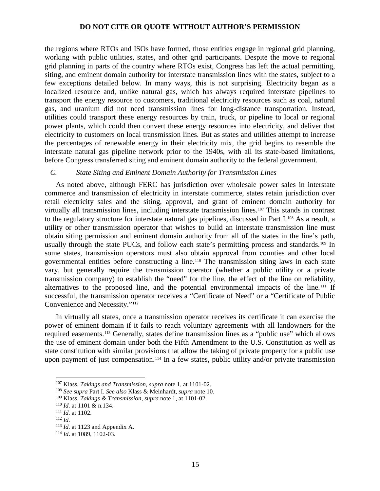the regions where RTOs and ISOs have formed, those entities engage in regional grid planning, working with public utilities, states, and other grid participants. Despite the move to regional grid planning in parts of the country where RTOs exist, Congress has left the actual permitting, siting, and eminent domain authority for interstate transmission lines with the states, subject to a few exceptions detailed below. In many ways, this is not surprising. Electricity began as a localized resource and, unlike natural gas, which has always required interstate pipelines to transport the energy resource to customers, traditional electricity resources such as coal, natural gas, and uranium did not need transmission lines for long-distance transportation. Instead, utilities could transport these energy resources by train, truck, or pipeline to local or regional power plants, which could then convert these energy resources into electricity, and deliver that electricity to customers on local transmission lines. But as states and utilities attempt to increase the percentages of renewable energy in their electricity mix, the grid begins to resemble the interstate natural gas pipeline network prior to the 1940s, with all its state-based limitations, before Congress transferred siting and eminent domain authority to the federal government.

### *C. State Siting and Eminent Domain Authority for Transmission Lines*

As noted above, although FERC has jurisdiction over wholesale power sales in interstate commerce and transmission of electricity in interstate commerce, states retain jurisdiction over retail electricity sales and the siting, approval, and grant of eminent domain authority for virtually all transmission lines, including interstate transmission lines.<sup>[107](#page-14-0)</sup> This stands in contrast to the regulatory structure for interstate natural gas pipelines, discussed in Part I.[108](#page-14-1) As a result, a utility or other transmission operator that wishes to build an interstate transmission line must obtain siting permission and eminent domain authority from all of the states in the line's path, usually through the state PUCs, and follow each state's permitting process and standards.<sup>[109](#page-14-2)</sup> In some states, transmission operators must also obtain approval from counties and other local governmental entities before constructing a line.[110](#page-14-3) The transmission siting laws in each state vary, but generally require the transmission operator (whether a public utility or a private transmission company) to establish the "need" for the line, the effect of the line on reliability, alternatives to the proposed line, and the potential environmental impacts of the line.<sup>[111](#page-14-4)</sup> If successful, the transmission operator receives a "Certificate of Need" or a "Certificate of Public Convenience and Necessity."[112](#page-14-5)

In virtually all states, once a transmission operator receives its certificate it can exercise the power of eminent domain if it fails to reach voluntary agreements with all landowners for the required easements.[113](#page-14-6) Generally, states define transmission lines as a "public use" which allows the use of eminent domain under both the Fifth Amendment to the U.S. Constitution as well as state constitution with similar provisions that allow the taking of private property for a public use upon payment of just compensation.<sup>[114](#page-14-7)</sup> In a few states, public utility and/or private transmission

<sup>107</sup> Klass, *Takings and Transmission*, *supra* note 1, at 1101-02.

<span id="page-14-1"></span><span id="page-14-0"></span><sup>108</sup> *See supra* Part I. *See also* Klass & Meinhardt, *supra* note 10.

<span id="page-14-2"></span><sup>109</sup> Klass, *Takings & Transmission*, *supra* note 1, at 1101-02.

<span id="page-14-3"></span><sup>110</sup> *Id.* at 1101 & n.134.

<span id="page-14-4"></span><sup>111</sup> *Id.* at 1102.

<span id="page-14-5"></span><sup>112</sup> *Id.*

<span id="page-14-6"></span><sup>113</sup> *Id.* at 1123 and Appendix A.

<span id="page-14-7"></span><sup>114</sup> *Id*. at 1089, 1102-03.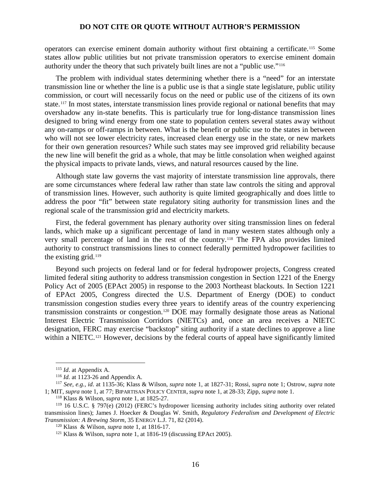operators can exercise eminent domain authority without first obtaining a certificate.[115](#page-15-0) Some states allow public utilities but not private transmission operators to exercise eminent domain authority under the theory that such privately built lines are not a "public use."[116](#page-15-1)

The problem with individual states determining whether there is a "need" for an interstate transmission line or whether the line is a public use is that a single state legislature, public utility commission, or court will necessarily focus on the need or public use of the citizens of its own state.[117](#page-15-2) In most states, interstate transmission lines provide regional or national benefits that may overshadow any in-state benefits. This is particularly true for long-distance transmission lines designed to bring wind energy from one state to population centers several states away without any on-ramps or off-ramps in between. What is the benefit or public use to the states in between who will not see lower electricity rates, increased clean energy use in the state, or new markets for their own generation resources? While such states may see improved grid reliability because the new line will benefit the grid as a whole, that may be little consolation when weighed against the physical impacts to private lands, views, and natural resources caused by the line.

Although state law governs the vast majority of interstate transmission line approvals, there are some circumstances where federal law rather than state law controls the siting and approval of transmission lines. However, such authority is quite limited geographically and does little to address the poor "fit" between state regulatory siting authority for transmission lines and the regional scale of the transmission grid and electricity markets.

First, the federal government has plenary authority over siting transmission lines on federal lands, which make up a significant percentage of land in many western states although only a very small percentage of land in the rest of the country.[118](#page-15-3) The FPA also provides limited authority to construct transmissions lines to connect federally permitted hydropower facilities to the existing grid.[119](#page-15-4)

Beyond such projects on federal land or for federal hydropower projects, Congress created limited federal siting authority to address transmission congestion in Section 1221 of the Energy Policy Act of 2005 (EPAct 2005) in response to the 2003 Northeast blackouts. In Section 1221 of EPAct 2005, Congress directed the U.S. Department of Energy (DOE) to conduct transmission congestion studies every three years to identify areas of the country experiencing transmission constraints or congestion.[120](#page-15-5) DOE may formally designate those areas as National Interest Electric Transmission Corridors (NIETCs) and, once an area receives a NIETC designation, FERC may exercise "backstop" siting authority if a state declines to approve a line within a NIETC.<sup>[121](#page-15-6)</sup> However, decisions by the federal courts of appeal have significantly limited

<sup>115</sup> *Id*. at Appendix A.

<sup>116</sup> *Id.* at 1123-26 and Appendix A.

<span id="page-15-2"></span><span id="page-15-1"></span><span id="page-15-0"></span><sup>117</sup> *See, e.g., id*. at 1135-36; Klass & Wilson, *supra* note 1, at 1827-31; Rossi, *supra* note 1; Ostrow, *supra* note 1; MIT, *supra* note 1, at 77; BIPARTISAN POLICY CENTER, *supra* note 1, at 28-33; Zipp, *supra* note 1.

<sup>118</sup> Klass & Wilson, *supra* note 1, at 1825-27.

<span id="page-15-6"></span><span id="page-15-5"></span><span id="page-15-4"></span><span id="page-15-3"></span><sup>119</sup> 16 U.S.C. § 797(e) (2012) (FERC's hydropower licensing authority includes siting authority over related transmission lines); James J. Hoecker & Douglas W. Smith, *Regulatory Federalism and Development of Electric Transmission: A Brewing Storm*, 35 ENERGY L.J. 71, 82 (2014).

<sup>120</sup> Klass & Wilson, *supra* note 1, at 1816-17.

<sup>121</sup> Klass & Wilson, *supra* note 1, at 1816-19 (discussing EPAct 2005).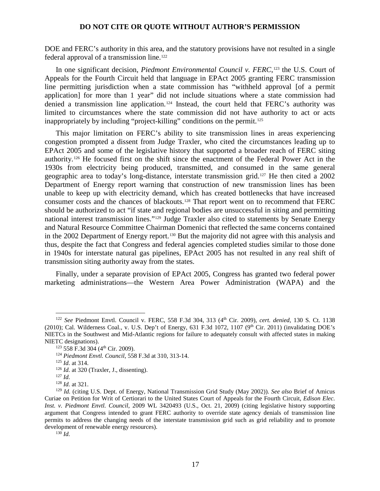DOE and FERC's authority in this area, and the statutory provisions have not resulted in a single federal approval of a transmission line.<sup>[122](#page-16-0)</sup>

In one significant decision, *Piedmont Environmental Council v. FERC*,<sup>[123](#page-16-1)</sup> the U.S. Court of Appeals for the Fourth Circuit held that language in EPAct 2005 granting FERC transmission line permitting jurisdiction when a state commission has "withheld approval [of a permit application] for more than 1 year" did not include situations where a state commission had denied a transmission line application.<sup>[124](#page-16-2)</sup> Instead, the court held that FERC's authority was limited to circumstances where the state commission did not have authority to act or acts inappropriately by including "project-killing" conditions on the permit.<sup>[125](#page-16-3)</sup>

This major limitation on FERC's ability to site transmission lines in areas experiencing congestion prompted a dissent from Judge Traxler, who cited the circumstances leading up to EPAct 2005 and some of the legislative history that supported a broader reach of FERC siting authority.[126](#page-16-4) He focused first on the shift since the enactment of the Federal Power Act in the 1930s from electricity being produced, transmitted, and consumed in the same general geographic area to today's long-distance, interstate transmission grid.[127](#page-16-5) He then cited a 2002 Department of Energy report warning that construction of new transmission lines has been unable to keep up with electricity demand, which has created bottlenecks that have increased consumer costs and the chances of blackouts.[128](#page-16-6) That report went on to recommend that FERC should be authorized to act "if state and regional bodies are unsuccessful in siting and permitting national interest transmission lines."[129](#page-16-7) Judge Traxler also cited to statements by Senate Energy and Natural Resource Committee Chairman Domenici that reflected the same concerns contained in the 2002 Department of Energy report.<sup>[130](#page-16-8)</sup> But the majority did not agree with this analysis and thus, despite the fact that Congress and federal agencies completed studies similar to those done in 1940s for interstate natural gas pipelines, EPAct 2005 has not resulted in any real shift of transmission siting authority away from the states.

Finally, under a separate provision of EPAct 2005, Congress has granted two federal power marketing administrations—the Western Area Power Administration (WAPA) and the

<span id="page-16-1"></span><span id="page-16-0"></span><sup>122</sup> *See* Piedmont Envtl. Council v. FERC, 558 F.3d 304, 313 (4th Cir. 2009), *cert. denied*, 130 S. Ct. 1138 (2010); Cal. Wilderness Coal., v. U.S. Dep't of Energy, 631 F.3d 1072, 1107 ( $9<sup>th</sup>$  Cir. 2011) (invalidating DOE's NIETCs in the Southwest and Mid-Atlantic regions for failure to adequately consult with affected states in making NIETC designations).

<sup>&</sup>lt;sup>123</sup> 558 F.3d 304 (4<sup>th</sup> Cir. 2009).

<span id="page-16-2"></span><sup>124</sup> *Piedmont Envtl. Council*, 558 F.3d at 310, 313-14.

<sup>125</sup> *Id.* at 314.

<sup>&</sup>lt;sup>126</sup> *Id.* at 320 (Traxler, J., dissenting).

<sup>127</sup> *Id.*

<sup>128</sup> *Id.* at 321.

<span id="page-16-7"></span><span id="page-16-6"></span><span id="page-16-5"></span><span id="page-16-4"></span><span id="page-16-3"></span><sup>129</sup> *Id.* (citing U.S. Dept. of Energy, National Transmission Grid Study (May 2002)). *See also* Brief of Amicus Curiae on Petition for Writ of Certiorari to the United States Court of Appeals for the Fourth Circuit, *Edison Elec. Inst. v. Piedmont Envtl. Council*, 2009 WL 3420493 (U.S., Oct. 21, 2009) (citing legislative history supporting argument that Congress intended to grant FERC authority to override state agency denials of transmission line permits to address the changing needs of the interstate transmission grid such as grid reliability and to promote development of renewable energy resources).

<span id="page-16-8"></span><sup>130</sup> *Id.*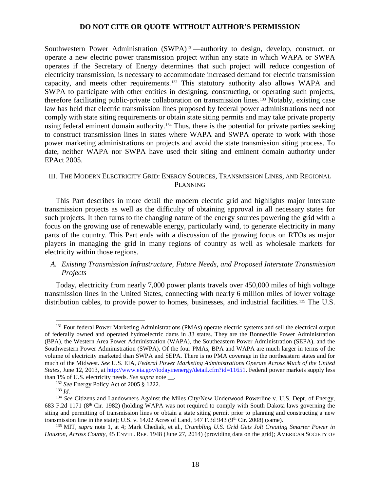Southwestern Power Administration (SWPA)<sup>[131](#page-17-0)</sup>—authority to design, develop, construct, or operate a new electric power transmission project within any state in which WAPA or SWPA operates if the Secretary of Energy determines that such project will reduce congestion of electricity transmission, is necessary to accommodate increased demand for electric transmission capacity, and meets other requirements.[132](#page-17-1) This statutory authority also allows WAPA and SWPA to participate with other entities in designing, constructing, or operating such projects, therefore facilitating public-private collaboration on transmission lines.[133](#page-17-2) Notably, existing case law has held that electric transmission lines proposed by federal power administrations need not comply with state siting requirements or obtain state siting permits and may take private property using federal eminent domain authority.<sup>[134](#page-17-3)</sup> Thus, there is the potential for private parties seeking to construct transmission lines in states where WAPA and SWPA operate to work with those power marketing administrations on projects and avoid the state transmission siting process. To date, neither WAPA nor SWPA have used their siting and eminent domain authority under EPAct 2005.

## III. THE MODERN ELECTRICITY GRID: ENERGY SOURCES, TRANSMISSION LINES, AND REGIONAL PLANNING

This Part describes in more detail the modern electric grid and highlights major interstate transmission projects as well as the difficulty of obtaining approval in all necessary states for such projects. It then turns to the changing nature of the energy sources powering the grid with a focus on the growing use of renewable energy, particularly wind, to generate electricity in many parts of the country. This Part ends with a discussion of the growing focus on RTOs as major players in managing the grid in many regions of country as well as wholesale markets for electricity within those regions.

# *A. Existing Transmission Infrastructure, Future Needs, and Proposed Interstate Transmission Projects*

Today, electricity from nearly 7,000 power plants travels over 450,000 miles of high voltage transmission lines in the United States, connecting with nearly 6 million miles of lower voltage distribution cables, to provide power to homes, businesses, and industrial facilities.[135](#page-17-4) The U.S.

<span id="page-17-0"></span><sup>&</sup>lt;sup>131</sup> Four federal Power Marketing Administrations (PMAs) operate electric systems and sell the electrical output of federally owned and operated hydroelectric dams in 33 states. They are the Bonneville Power Administration (BPA), the Western Area Power Administration (WAPA), the Southeastern Power Administration (SEPA), and the Southwestern Power Administration (SWPA). Of the four PMAs, BPA and WAPA are much larger in terms of the volume of electricity marketed than SWPA and SEPA. There is no PMA coverage in the northeastern states and for much of the Midwest*. See* U.S. EIA, *Federal Power Marketing Administrations Operate Across Much of the United States*, June 12, 2013, at [http://www.eia.gov/todayinenergy/detail.cfm?id=11651.](http://www.eia.gov/todayinenergy/detail.cfm?id=11651) Federal power markets supply less than 1% of U.S. electricity needs. *See supra* note \_\_.

<sup>132</sup> *See* Energy Policy Act of 2005 § 1222.

<sup>133</sup> *Id.*

<span id="page-17-3"></span><span id="page-17-2"></span><span id="page-17-1"></span><sup>&</sup>lt;sup>134</sup> See Citizens and Landowners Against the Miles City/New Underwood Powerline v. U.S. Dept. of Energy, 683 F.2d 1171 (8th Cir. 1982) (holding WAPA was not required to comply with South Dakota laws governing the siting and permitting of transmission lines or obtain a state siting permit prior to planning and constructing a new transmission line in the state); U.S. v. 14.02 Acres of Land, 547 F.3d 943 ( $9^{th}$  Cir. 2008) (same).

<span id="page-17-4"></span><sup>135</sup> MIT, *supra* note 1, at 4; Mark Chediak, et al*., Crumbling U.S. Grid Gets Jolt Creating Smarter Power in Houston, Across County*, 45 ENVTL. REP. 1948 (June 27, 2014) (providing data on the grid); AMERICAN SOCIETY OF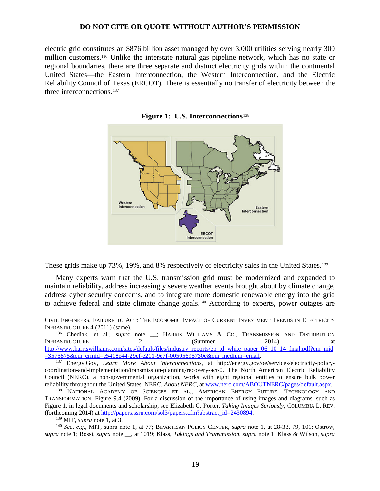electric grid constitutes an \$876 billion asset managed by over 3,000 utilities serving nearly 300 million customers. [136](#page-18-0) Unlike the interstate natural gas pipeline network, which has no state or regional boundaries, there are three separate and distinct electricity grids within the continental United States—the Eastern Interconnection, the Western Interconnection, and the Electric Reliability Council of Texas (ERCOT). There is essentially no transfer of electricity between the three interconnections.<sup>[137](#page-18-1)</sup>



**Figure 1: U.S. Interconnections**[138](#page-18-2)

These grids make up 73%, 19%, and 8% respectively of electricity sales in the United States.[139](#page-18-3)

Many experts warn that the U.S. transmission grid must be modernized and expanded to maintain reliability, address increasingly severe weather events brought about by climate change, address cyber security concerns, and to integrate more domestic renewable energy into the grid to achieve federal and state climate change goals.<sup>[140](#page-18-4)</sup> According to experts, power outages are

CIVIL ENGINEERS, FAILURE TO ACT: THE ECONOMIC IMPACT OF CURRENT INVESTMENT TRENDS IN ELECTRICITY INFRASTRUCTURE 4 (2011) (same).

<span id="page-18-0"></span><sup>136</sup> Chediak, et al., *supra* note \_; HARRIS WILLIAMS & CO., TRANSMISSION AND DISTRIBUTION INFRASTRUCTURE 2 2 (Summer 2014), at [http://www.harriswilliams.com/sites/default/files/industry\\_reports/ep\\_td\\_white\\_paper\\_06\\_10\\_14\\_final.pdf?cm\\_mid](http://www.harriswilliams.com/sites/default/files/industry_reports/ep_td_white_paper_06_10_14_final.pdf?cm_mid=3575875&cm_crmid=e5418e44-29ef-e211-9e7f-00505695730e&cm_medium=email)=3575875&cm\_crmid=e5418e44-29ef-e211-9e7f-00505695730e&cm\_medium=email.

<span id="page-18-1"></span><sup>137</sup> Energy.Gov, *Learn More About Interconnections*, at http://energy.gov/oe/services/electricity-policycoordination-and-implementation/transmission-planning/recovery-act-0. The North American Electric Reliability Council (NERC), a non-governmental organization, works with eight regional entities to ensure bulk power reliability throughout the United States. NERC, *About NERC*, at [www.nerc.com/ABOUTNERC/pages/default.aspx.](http://www.nerc.com/ABOUTNERC/pages/default.aspx) 138 NATIONAL ACADEMY OF SCIENCES ET AL., AMERICAN ENERGY FUTURE: TECHNOLOGY AND

<span id="page-18-2"></span>TRANSFORMATION, Figure 9.4 (2009). For a discussion of the importance of using images and diagrams, such as Figure 1, in legal documents and scholarship, see Elizabeth G. Porter, *Taking Images Seriously*, COLUMBIA L. REV. (forthcoming 2014) at [http://papers.ssrn.com/sol3/papers.cfm?abstract\\_id=2430894.](http://papers.ssrn.com/sol3/papers.cfm?abstract_id=2430894) 139 MIT, *supra* note 1, at 3.

 $\overline{a}$ 

<span id="page-18-4"></span><span id="page-18-3"></span><sup>140</sup> *See, e.g.,* MIT, supra note 1, at 77; BIPARTISAN POLICY CENTER, *supra* note 1, at 28-33, 79, 101; Ostrow, *supra* note 1; Rossi, *supra* note \_\_, at 1019; Klass, *Takings and Transmission*, *supra* note 1; Klass & Wilson, *supra*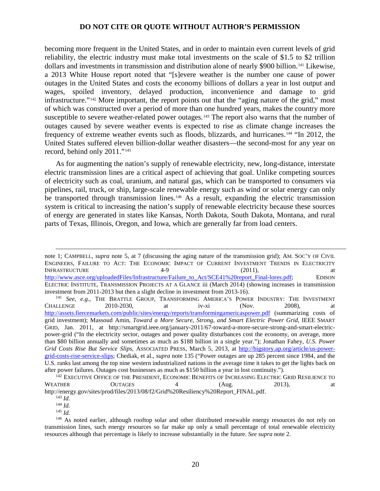becoming more frequent in the United States, and in order to maintain even current levels of grid reliability, the electric industry must make total investments on the scale of \$1.5 to \$2 trillion dollars and investments in transmission and distribution alone of nearly \$900 billion. [141](#page-19-0) Likewise, a 2013 White House report noted that "[s]evere weather is the number one cause of power outages in the United States and costs the economy billions of dollars a year in lost output and wages, spoiled inventory, delayed production, inconvenience and damage to grid infrastructure."[142](#page-19-1) More important, the report points out that the "aging nature of the grid," most of which was constructed over a period of more than one hundred years, makes the country more susceptible to severe weather-related power outages.<sup>[143](#page-19-2)</sup> The report also warns that the number of outages caused by severe weather events is expected to rise as climate change increases the frequency of extreme weather events such as floods, blizzards, and hurricanes.[144](#page-19-3) "In 2012, the United States suffered eleven billion-dollar weather disasters—the second-most for any year on record, behind only 2011."[145](#page-19-4)

As for augmenting the nation's supply of renewable electricity, new, long-distance, interstate electric transmission lines are a critical aspect of achieving that goal. Unlike competing sources of electricity such as coal, uranium, and natural gas, which can be transported to consumers via pipelines, rail, truck, or ship, large-scale renewable energy such as wind or solar energy can only be transported through transmission lines.<sup>[146](#page-19-5)</sup> As a result, expanding the electric transmission system is critical to increasing the nation's supply of renewable electricity because these sources of energy are generated in states like Kansas, North Dakota, South Dakota, Montana, and rural parts of Texas, Illinois, Oregon, and Iowa, which are generally far from load centers.

<span id="page-19-0"></span><sup>141</sup> *See, e.g.,* THE BRATTLE GROUP, TRANSFORMING AMERICA'S POWER INDUSTRY: THE INVESTMENT CHALLENGE 2010-2030, at iv-xi (Nov. 2008), at CHALLENGE  $2010-2030$ , at iv-xi (Nov.  $2008$ ), at <http://assets.fiercemarkets.com/public/sites/energy/reports/transformingamericaspower.pdf> (summarizing costs of grid investment); Massoud Amin, *Toward a More Secure, Strong, and Smart Electric Power Grid*, IEEE SMART GRID, Jan. 2011, at http://smartgrid.ieee.org/january-2011/67-toward-a-more-secure-strong-and-smart-electricpower-grid ("In the electricity sector, outages and power quality disturbances cost the economy, on average, more than \$80 billion annually and sometimes as much as \$188 billion in a single year."); Jonathan Fahey, *U.S. Power Grid Costs Rise But Service Slips*, ASSOCIATED PRESS, March 5, 2013, at [http://bigstory.ap.org/article/us-power](http://bigstory.ap.org/article/us-power-grid-costs-rise-service-slips)[grid-costs-rise-service-slips;](http://bigstory.ap.org/article/us-power-grid-costs-rise-service-slips) Chediak, et al., *supra* note 135 ("Power outages are up 285 percent since 1984, and the U.S. ranks last among the top nine western industrialized nations in the average time it takes to get the lights back on after power failures. Outages cost businesses as much as \$150 billion a year in lost continuity.").

note 1; CAMPBELL, *supra* note 5, at 7 (discussing the aging nature of the transmission grid); AM. SOC'Y OF CIVIL ENGINEERS, FAILURE TO ACT: THE ECONOMIC IMPACT OF CURRENT INVESTMENT TRENDS IN ELECTRICITY INFRASTRUCTURE 4-9 (2011), at [http://www.asce.org/uploadedFiles/Infrastructure/Failure\\_to\\_Act/SCE41%20report\\_Final-lores.pdf;](http://www.asce.org/uploadedFiles/Infrastructure/Failure_to_Act/SCE41%20report_Final-lores.pdf) EDISON ELECTRIC INSTITUTE, TRANSMISSION PROJECTS AT A GLANCE iii (March 2014) (showing increases in transmission investment from 2011-2013 but then a slight decline in investment from 2013-16).  $\overline{a}$ 

<span id="page-19-2"></span><span id="page-19-1"></span><sup>&</sup>lt;sup>142</sup> EXECUTIVE OFFICE OF THE PRESIDENT, ECONOMIC BENEFITS OF INCREASING ELECTRIC GRID RESILIENCE TO WEATHER OUTAGES 4 (Aug. 2013), at http://energy.gov/sites/prod/files/2013/08/f2/Grid%20Resiliency%20Report\_FINAL.pdf.

<sup>143</sup> *Id.*

<sup>144</sup> *Id.*

<sup>145</sup> *Id.*

<span id="page-19-5"></span><span id="page-19-4"></span><span id="page-19-3"></span><sup>&</sup>lt;sup>146</sup> As noted earlier, although rooftop solar and other distributed renewable energy resources do not rely on transmission lines, such energy resources so far make up only a small percentage of total renewable electricity resources although that percentage is likely to increase substantially in the future. *See supra* note 2.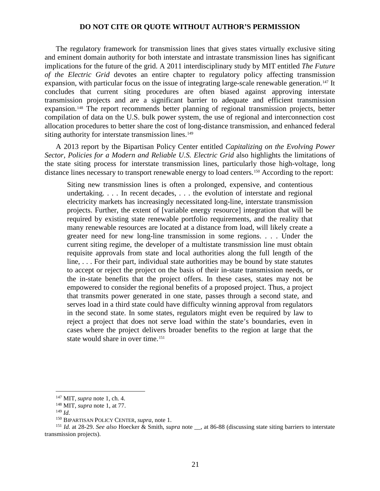The regulatory framework for transmission lines that gives states virtually exclusive siting and eminent domain authority for both interstate and intrastate transmission lines has significant implications for the future of the grid. A 2011 interdisciplinary study by MIT entitled *The Future of the Electric Grid* devotes an entire chapter to regulatory policy affecting transmission expansion, with particular focus on the issue of integrating large-scale renewable generation.[147](#page-20-0) It concludes that current siting procedures are often biased against approving interstate transmission projects and are a significant barrier to adequate and efficient transmission expansion.[148](#page-20-1) The report recommends better planning of regional transmission projects, better compilation of data on the U.S. bulk power system, the use of regional and interconnection cost allocation procedures to better share the cost of long-distance transmission, and enhanced federal siting authority for interstate transmission lines.<sup>[149](#page-20-2)</sup>

A 2013 report by the Bipartisan Policy Center entitled *Capitalizing on the Evolving Power Sector, Policies for a Modern and Reliable U.S. Electric Grid* also highlights the limitations of the state siting process for interstate transmission lines, particularly those high-voltage, long distance lines necessary to transport renewable energy to load centers.<sup>[150](#page-20-3)</sup> According to the report:

Siting new transmission lines is often a prolonged, expensive, and contentious undertaking. . . . In recent decades, . . . the evolution of interstate and regional electricity markets has increasingly necessitated long-line, interstate transmission projects. Further, the extent of [variable energy resource] integration that will be required by existing state renewable portfolio requirements, and the reality that many renewable resources are located at a distance from load, will likely create a greater need for new long-line transmission in some regions. . . . Under the current siting regime, the developer of a multistate transmission line must obtain requisite approvals from state and local authorities along the full length of the line, . . . For their part, individual state authorities may be bound by state statutes to accept or reject the project on the basis of their in-state transmission needs, or the in-state benefits that the project offers. In these cases, states may not be empowered to consider the regional benefits of a proposed project. Thus, a project that transmits power generated in one state, passes through a second state, and serves load in a third state could have difficulty winning approval from regulators in the second state. In some states, regulators might even be required by law to reject a project that does not serve load within the state's boundaries, even in cases where the project delivers broader benefits to the region at large that the state would share in over time.<sup>[151](#page-20-4)</sup>

<sup>147</sup> MIT, *supra* note 1, ch. 4.

<sup>148</sup> MIT, *supra* note 1, at 77.

<sup>149</sup> *Id.*

<sup>150</sup> BIPARTISAN POLICY CENTER, *supra*, note 1.

<span id="page-20-4"></span><span id="page-20-3"></span><span id="page-20-2"></span><span id="page-20-1"></span><span id="page-20-0"></span><sup>151</sup> *Id.* at 28-29. *See also* Hoecker & Smith, *supra* note \_\_, at 86-88 (discussing state siting barriers to interstate transmission projects).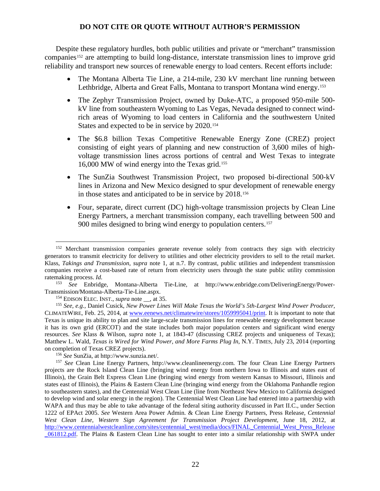Despite these regulatory hurdles, both public utilities and private or "merchant" transmission companies<sup>[152](#page-21-0)</sup> are attempting to build long-distance, interstate transmission lines to improve grid reliability and transport new sources of renewable energy to load centers. Recent efforts include:

- The Montana Alberta Tie Line, a 214-mile, 230 kV merchant line running between Lethbridge, Alberta and Great Falls, Montana to transport Montana wind energy.[153](#page-21-1)
- The Zephyr Transmission Project, owned by Duke-ATC, a proposed 950-mile 500kV line from southeastern Wyoming to Las Vegas, Nevada designed to connect windrich areas of Wyoming to load centers in California and the southwestern United States and expected to be in service by 2020.<sup>[154](#page-21-2)</sup>
- The \$6.8 billion Texas Competitive Renewable Energy Zone (CREZ) project consisting of eight years of planning and new construction of 3,600 miles of highvoltage transmission lines across portions of central and West Texas to integrate 16,000 MW of wind energy into the Texas grid.[155](#page-21-3)
- The SunZia Southwest Transmission Project, two proposed bi-directional 500-kV lines in Arizona and New Mexico designed to spur development of renewable energy in those states and anticipated to be in service by 2018.[156](#page-21-4)
- Four, separate, direct current (DC) high-voltage transmission projects by Clean Line Energy Partners, a merchant transmission company, each travelling between 500 and 900 miles designed to bring wind energy to population centers.<sup>[157](#page-21-5)</sup>

<span id="page-21-0"></span><sup>&</sup>lt;sup>152</sup> Merchant transmission companies generate revenue solely from contracts they sign with electricity generators to transmit electricity for delivery to utilities and other electricity providers to sell to the retail market. Klass, *Takings and Transmission*, *supra* note 1, at n.7. By contrast, public utilities and independent transmission companies receive a cost-based rate of return from electricity users through the state public utility commission ratemaking process. *Id.*

<span id="page-21-1"></span><sup>153</sup> *See* Enbridge, Montana-Alberta Tie-Line, at http://www.enbridge.com/DeliveringEnergy/Power-Transmission/Montana-Alberta-Tie-Line.aspx.

<sup>154</sup> EDISON ELEC. INST., *supra* note \_\_, at 35.

<span id="page-21-3"></span><span id="page-21-2"></span><sup>155</sup> *See, e.g.,* Daniel Cusick, *New Power Lines Will Make Texas the World's 5th-Largest Wind Power Producer*, CLIMATEWIRE, Feb. 25, 2014, at [www.eenews.net/climatewire/stores/1059995041/print.](http://www.eenews.net/climatewire/stores/1059995041/print) It is important to note that Texas is unique its ability to plan and site large-scale transmission lines for renewable energy development because it has its own grid (ERCOT) and the state includes both major population centers and significant wind energy resources. *See* Klass & Wilson, *supra* note 1, at 1843-47 (discussing CREZ projects and uniqueness of Texas); Matthew L. Wald, *Texas is Wired for Wind Power, and More Farms Plug In*, N.Y. TIMES, July 23, 2014 (reporting on completion of Texas CREZ projects).

<sup>156</sup> *See* SunZia, at http://www.sunzia.net/.

<span id="page-21-5"></span><span id="page-21-4"></span><sup>157</sup> *See* Clean Line Energy Partners, http://www.cleanlineenergy.com. The four Clean Line Energy Partners projects are the Rock Island Clean Line (bringing wind energy from northern Iowa to Illinois and states east of Illinois), the Grain Belt Express Clean Line (bringing wind energy from western Kansas to Missouri, Illinois and states east of Illinois), the Plains & Eastern Clean Line (bringing wind energy from the Oklahoma Panhandle region to southeastern states), and the Centennial West Clean Line (line from Northeast New Mexico to California designed to develop wind and solar energy in the region). The Centennial West Clean Line had entered into a partnership with WAPA and thus may be able to take advantage of the federal siting authority discussed in Part II.C., under Section 1222 of EPAct 2005. *See* Western Area Power Admin. & Clean Line Energy Partners, Press Release, *Centennial West Clean Line, Western Sign Agreement for Transmission Project Development*, June 18, 2012, at [http://www.centennialwestcleanline.com/sites/centennial\\_west/media/docs/FINAL\\_Centennial\\_West\\_Press\\_Release](http://www.centennialwestcleanline.com/sites/centennial_west/media/docs/FINAL_Centennial_West_Press_Release_061812.pdf) [\\_061812.pdf.](http://www.centennialwestcleanline.com/sites/centennial_west/media/docs/FINAL_Centennial_West_Press_Release_061812.pdf) The Plains & Eastern Clean Line has sought to enter into a similar relationship with SWPA under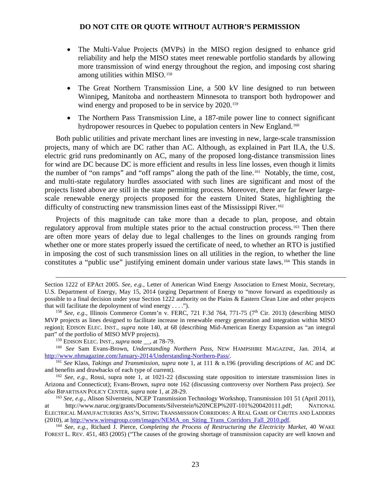- The Multi-Value Projects (MVPs) in the MISO region designed to enhance grid reliability and help the MISO states meet renewable portfolio standards by allowing more transmission of wind energy throughout the region, and imposing cost sharing among utilities within MISO.[158](#page-22-0)
- The Great Northern Transmission Line, a 500 kV line designed to run between Winnipeg, Manitoba and northeastern Minnesota to transport both hydropower and wind energy and proposed to be in service by 2020.<sup>[159](#page-22-1)</sup>
- The Northern Pass Transmission Line, a 187-mile power line to connect significant hydropower resources in Quebec to population centers in New England.<sup>[160](#page-22-2)</sup>

Both public utilities and private merchant lines are investing in new, large-scale transmission projects, many of which are DC rather than AC. Although, as explained in Part II.A, the U.S. electric grid runs predominantly on AC, many of the proposed long-distance transmission lines for wind are DC because DC is more efficient and results in less line losses, even though it limits the number of "on ramps" and "off ramps" along the path of the line.[161](#page-22-3) Notably, the time, cost, and multi-state regulatory hurdles associated with such lines are significant and most of the projects listed above are still in the state permitting process. Moreover, there are far fewer largescale renewable energy projects proposed for the eastern United States, highlighting the difficulty of constructing new transmission lines east of the Mississippi River.[162](#page-22-4)

Projects of this magnitude can take more than a decade to plan, propose, and obtain regulatory approval from multiple states prior to the actual construction process.[163](#page-22-5) Then there are often more years of delay due to legal challenges to the lines on grounds ranging from whether one or more states properly issued the certificate of need, to whether an RTO is justified in imposing the cost of such transmission lines on all utilities in the region, to whether the line constitutes a "public use" justifying eminent domain under various state laws.[164](#page-22-6) This stands in

Section 1222 of EPAct 2005. *See, e.g.,* Letter of American Wind Energy Association to Ernest Moniz, Secretary, U.S. Department of Energy, May 15, 2014 (urging Department of Energy to "move forward as expeditiously as possible to a final decision under your Section 1222 authority on the Plains & Eastern Clean Line and other projects that will facilitate the depoloyment of wind energy  $\dots$ .").

<span id="page-22-0"></span><sup>&</sup>lt;sup>158</sup> *See, e.g.,* Illinois Commerce Comm'n v. FERC, 721 F.3d 764, 771-75 (7<sup>th</sup> Cir. 2013) (describing MISO MVP projects as lines designed to facilitate increase in renewable energy generation and integration within MISO region); EDISON ELEC. INST., *supra* note 140, at 68 (describing Mid-American Energy Expansion as "an integral part" of the portfolio of MISO MVP projects).

<sup>&</sup>lt;sup>159</sup> EDISON ELEC. INST., *supra* note , at 78-79.

<span id="page-22-2"></span><span id="page-22-1"></span><sup>&</sup>lt;sup>160</sup> *See* Sam Evans-Brown, *Understanding Northern Pass*, NEW HAMPSHIRE MAGAZINE, Jan. 2014, at http://www.nhmagazine.com/January-2014/Understanding-Northern-Pass/.

<span id="page-22-3"></span><sup>&</sup>lt;sup>161</sup> See Klass, *Takings and Transmission*, *supra* note 1, at 111 & n.196 (providing descriptions of AC and DC and benefits and drawbacks of each type of current).

<span id="page-22-4"></span><sup>&</sup>lt;sup>162</sup> *See, e.g.,* Rossi, supra note 1, at 1021-22 (discussing state opposition to interstate transmission lines in Arizona and Connecticut); Evans-Brown, *supra* note 162 (discussing controversy over Northern Pass project). *See also* BIPARTISAN POLICY CENTER, *supra* note 1, at 28-29.

<span id="page-22-5"></span><sup>163</sup> *See, e.g*., Alison Silverstein, NCEP Transmission Technology Workshop, Transmission 101 51 (April 2011), at http://www.naruc.org/grants/Documents/Silverstein%20NCEP%20T-101%200420111.pdf; NATIONAL ELECTRICAL MANUFACTURERS ASS'N, SITING TRANSMISSION CORRIDORS: A REAL GAME OF CHUTES AND LADDERS (2010), a[t http://www.wiresgroup.com/images/NEMA\\_on\\_Siting\\_Trans\\_Corridors\\_Fall\\_2010.pdf.](http://www.wiresgroup.com/images/NEMA_on_Siting_Trans_Corridors_Fall_2010.pdf)

<span id="page-22-6"></span><sup>164</sup> *See, e.g.,* Richard J. Pierce, *Completing the Process of Restructuring the Electricity Market*, 40 WAKE FOREST L. REV. 451, 483 (2005) ("The causes of the growing shortage of transmission capacity are well known and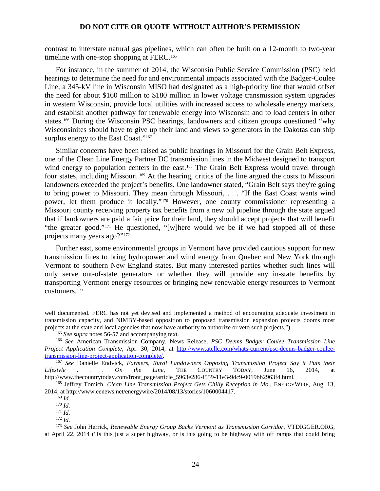contrast to interstate natural gas pipelines, which can often be built on a 12-month to two-year timeline with one-stop shopping at FERC.<sup>[165](#page-23-0)</sup>

For instance, in the summer of 2014, the Wisconsin Public Service Commission (PSC) held hearings to determine the need for and environmental impacts associated with the Badger-Coulee Line, a 345-kV line in Wisconsin MISO had designated as a high-priority line that would offset the need for about \$160 million to \$180 million in lower voltage transmission system upgrades in western Wisconsin, provide local utilities with increased access to wholesale energy markets, and establish another pathway for renewable energy into Wisconsin and to load centers in other states.[166](#page-23-1) During the Wisconsin PSC hearings, landowners and citizen groups questioned "why Wisconsinites should have to give up their land and views so generators in the Dakotas can ship surplus energy to the East Coast."<sup>[167](#page-23-2)</sup>

Similar concerns have been raised as public hearings in Missouri for the Grain Belt Express, one of the Clean Line Energy Partner DC transmission lines in the Midwest designed to transport wind energy to population centers in the east.<sup>[168](#page-23-3)</sup> The Grain Belt Express would travel through four states, including Missouri.<sup>[169](#page-23-4)</sup> At the hearing, critics of the line argued the costs to Missouri landowners exceeded the project's benefits. One landowner stated, "Grain Belt says they're going to bring power to Missouri. They mean through Missouri, . . . "If the East Coast wants wind power, let them produce it locally."[170](#page-23-5) However, one county commissioner representing a Missouri county receiving property tax benefits from a new oil pipeline through the state argued that if landowners are paid a fair price for their land, they should accept projects that will benefit "the greater good."[171](#page-23-6) He questioned, "[w]here would we be if we had stopped all of these projects many years ago?"[172](#page-23-7)

Further east, some environmental groups in Vermont have provided cautious support for new transmission lines to bring hydropower and wind energy from Quebec and New York through Vermont to southern New England states. But many interested parties whether such lines will only serve out-of-state generators or whether they will provide any in-state benefits by transporting Vermont energy resources or bringing new renewable energy resources to Vermont customers.[173](#page-23-8)

well documented. FERC has not yet devised and implemented a method of encouraging adequate investment in transmission capacity, and NIMBY-based opposition to proposed transmission expansion projects dooms most projects at the state and local agencies that now have authority to authorize or veto such projects.").

<sup>&</sup>lt;sup>165</sup> See supra notes 56-57 and accompanying text.

<span id="page-23-1"></span><span id="page-23-0"></span><sup>166</sup> *See* American Transmission Company, News Release, *PSC Deems Badger Coulee Transmission Line Project Application Complete*, Apr. 30, 2014, at [http://www.atcllc.com/whats-current/psc-deems-badger-coulee](http://www.atcllc.com/whats-current/psc-deems-badger-coulee-transmission-line-project-application-complete/)[transmission-line-project-application-complete/.](http://www.atcllc.com/whats-current/psc-deems-badger-coulee-transmission-line-project-application-complete/) 167 *See* Danielle Endvick, *Farmers, Rural Landowners Opposing Transmission Project Say it Puts their* 

<span id="page-23-2"></span>*Lifestyle . . . On the Line*, THE COUNTRY TODAY, June 16, 2014, at http://www.thecountrytoday.com/front\_page/article\_5963e286-f559-11e3-9dc9-0019bb2963f4.html.

<span id="page-23-5"></span><span id="page-23-4"></span><span id="page-23-3"></span><sup>168</sup> Jeffrey Tomich, *Clean Line Transmission Project Gets Chilly Reception in Mo*., ENERGYWIRE, Aug. 13, 2014, at http://www.eenews.net/energywire/2014/08/13/stories/1060004417.

<sup>169</sup> *Id.*

<sup>170</sup> *Id.*

<sup>171</sup> *Id.* <sup>172</sup> *Id.*

<span id="page-23-8"></span><span id="page-23-7"></span><span id="page-23-6"></span><sup>173</sup> *See* John Herrick, *Renewable Energy Group Backs Vermont as Transmission Corridor*, VTDIGGER.ORG, at April 22, 2014 ("Is this just a super highway, or is this going to be highway with off ramps that could bring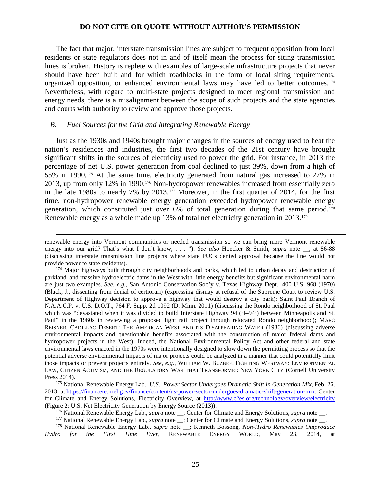The fact that major, interstate transmission lines are subject to frequent opposition from local residents or state regulators does not in and of itself mean the process for siting transmission lines is broken. History is replete with examples of large-scale infrastructure projects that never should have been built and for which roadblocks in the form of local siting requirements, organized opposition, or enhanced environmental laws may have led to better outcomes.[174](#page-24-0) Nevertheless, with regard to multi-state projects designed to meet regional transmission and energy needs, there is a misalignment between the scope of such projects and the state agencies and courts with authority to review and approve those projects.

### *B. Fuel Sources for the Grid and Integrating Renewable Energy*

 $\overline{a}$ 

Just as the 1930s and 1940s brought major changes in the sources of energy used to heat the nation's residences and industries, the first two decades of the 21st century have brought significant shifts in the sources of electricity used to power the grid. For instance, in 2013 the percentage of net U.S. power generation from coal declined to just 39%, down from a high of 55% in 1990.[175](#page-24-1) At the same time, electricity generated from natural gas increased to 27% in 2013, up from only 12% in 1990.[176](#page-24-2) Non-hydropower renewables increased from essentially zero in the late 1980s to nearly 7% by 2013.<sup>[177](#page-24-3)</sup> Moreover, in the first quarter of 2014, for the first time, non-hydropower renewable energy generation exceeded hydropower renewable energy generation, which constituted just over 6% of total generation during that same period.[178](#page-24-4) Renewable energy as a whole made up 13% of total net electricity generation in 2013.<sup>[179](#page-24-5)</sup>

renewable energy into Vermont communities or needed transmission so we can bring more Vermont renewable energy into our grid? That's what I don't know, . . . "). *See also* Hoecker & Smith, *supra* note \_\_, at 86-88 (discussing interstate transmission line projects where state PUCs denied approval because the line would not provide power to state residents).

<span id="page-24-0"></span><sup>&</sup>lt;sup>174</sup> Major highways built through city neighborhoods and parks, which led to urban decay and destruction of parkland, and massive hydroelectric dams in the West with little energy benefits but significant environmental harm are just two examples. *See, e.g.,* San Antonio Conservation Soc'y v. Texas Highway Dept., 400 U.S. 968 (1970) (Black, J., dissenting from denial of certiorari) (expressing dismay at refusal of the Supreme Court to review U.S. Department of Highway decision to approve a highway that would destroy a city park); Saint Paul Branch of N.A.A.C.P. v. U.S. D.O.T., 764 F. Supp. 2d 1092 (D. Minn. 2011) (discussing the Rondo neighborhood of St. Paul which was "devastated when it was divided to build Interstate Highway 94 ('I–94') between Minneapolis and St. Paul" in the 1960s in reviewing a proposed light rail project through relocated Rondo neighborhood); MARC REISNER, CADILLAC DESERT: THE AMERICAN WEST AND ITS DISAPPEARING WATER (1986) (discussing adverse environmental impacts and questionable benefits associated with the construction of major federal dams and hydropower projects in the West). Indeed, the National Environmental Policy Act and other federal and state environmental laws enacted in the 1970s were intentionally designed to slow down the permitting process so that the potential adverse environmental impacts of major projects could be analyzed in a manner that could potentially limit those impacts or prevent projects entirely. *See, e.g.,* WILLIAM W. BUZBEE, FIGHTING WESTWAY: ENVIRONMENTAL LAW, CITIZEN ACTIVISM, AND THE REGULATORY WAR THAT TRANSFORMED NEW YORK CITY (Cornell University Press 2014).

<span id="page-24-5"></span><span id="page-24-1"></span><sup>175</sup> National Renewable Energy Lab., *U.S. Power Sector Undergoes Dramatic Shift in Generation Mix*, Feb. 26, 2013, at [https://financere.nrel.gov/finance/content/us-power-sector-undergoes-dramatic-shift-generation-mix;](https://financere.nrel.gov/finance/content/us-power-sector-undergoes-dramatic-shift-generation-mix) Center for Climate and Energy Solutions, Electricity Overview, at<http://www.c2es.org/technology/overview/electricity> (Figure 2: U.S. Net Electricity Generation by Energy Source (2013)).

<sup>&</sup>lt;sup>176</sup> National Renewable Energy Lab., *supra* note \_\_; Center for Climate and Energy Solutions, *supra* note \_\_.

<sup>&</sup>lt;sup>177</sup> National Renewable Energy Lab., *supra* note \_\_; Center for Climate and Energy Solutions, *supra* note \_\_.

<span id="page-24-4"></span><span id="page-24-3"></span><span id="page-24-2"></span><sup>178</sup> National Renewable Energy Lab., *supra* note \_\_; Kenneth Bossong, *Non-Hydro Renewables Outproduce Hydro for the First Time Ever*, RENEWABLE ENERGY WORLD, May 23, 2014, at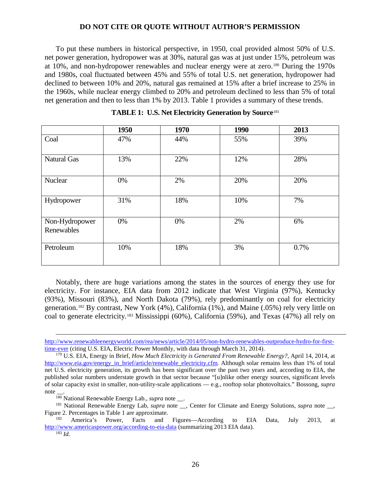To put these numbers in historical perspective, in 1950, coal provided almost 50% of U.S. net power generation, hydropower was at 30%, natural gas was at just under 15%, petroleum was at 10%, and non-hydropower renewables and nuclear energy were at zero.[180](#page-25-0) During the 1970s and 1980s, coal fluctuated between 45% and 55% of total U.S. net generation, hydropower had declined to between 10% and 20%, natural gas remained at 15% after a brief increase to 25% in the 1960s, while nuclear energy climbed to 20% and petroleum declined to less than 5% of total net generation and then to less than 1% by 2013. Table 1 provides a summary of these trends.

|                              | 1950 | 1970 | 1990 | 2013 |
|------------------------------|------|------|------|------|
| Coal                         | 47%  | 44%  | 55%  | 39%  |
| <b>Natural Gas</b>           | 13%  | 22%  | 12%  | 28%  |
| Nuclear                      | 0%   | 2%   | 20%  | 20%  |
| Hydropower                   | 31%  | 18%  | 10%  | 7%   |
| Non-Hydropower<br>Renewables | 0%   | 0%   | 2%   | 6%   |
| Petroleum                    | 10%  | 18%  | 3%   | 0.7% |

Notably, there are huge variations among the states in the sources of energy they use for electricity. For instance, EIA data from 2012 indicate that West Virginia (97%), Kentucky (93%), Missouri (83%), and North Dakota (79%), rely predominantly on coal for electricity generation.[182](#page-25-2) By contrast, New York (4%), California (1%), and Maine (.05%) rely very little on coal to generate electricity.[183](#page-25-3) Mississippi (60%), California (59%), and Texas (47%) all rely on

<sup>180</sup> National Renewable Energy Lab., *supra* note \_\_.

[http://www.renewableenergyworld.com/rea/news/article/2014/05/non-hydro-renewables-outproduce-hydro-for-first](http://www.renewableenergyworld.com/rea/news/article/2014/05/non-hydro-renewables-outproduce-hydro-for-first-time-ever)[time-ever](http://www.renewableenergyworld.com/rea/news/article/2014/05/non-hydro-renewables-outproduce-hydro-for-first-time-ever) (citing U.S. EIA, Electric Power Monthly, with data through March 31, 2014).

<sup>179</sup> U.S. EIA, Energy in Brief, *How Much Electricity is Generated From Renewable Energy?*, April 14, 2014, at [http://www.eia.gov/energy\\_in\\_brief/article/renewable\\_electricity.cfm.](http://www.eia.gov/energy_in_brief/article/renewable_electricity.cfm) Although solar remains less than 1% of total net U.S. electricity generation, its growth has been significant over the past two years and, according to EIA, the published solar numbers understate growth in that sector because "[u]nlike other energy sources, significant levels of solar capacity exist in smaller, non-utility-scale applications — e.g., rooftop solar photovoltaics." Bossong, *supra* note \_\_.

<span id="page-25-1"></span><span id="page-25-0"></span><sup>&</sup>lt;sup>181</sup> National Renewable Energy Lab, *supra* note \_\_, Center for Climate and Energy Solutions, *supra* note \_\_, Figure 2. Percentages in Table 1 are approximate.

<span id="page-25-3"></span><span id="page-25-2"></span>America's Power, Facts and Figures—According to EIA Data, July 2013, at <http://www.americaspower.org/according-to-eia-data> (summarizing 2013 EIA data). 183 *Id.*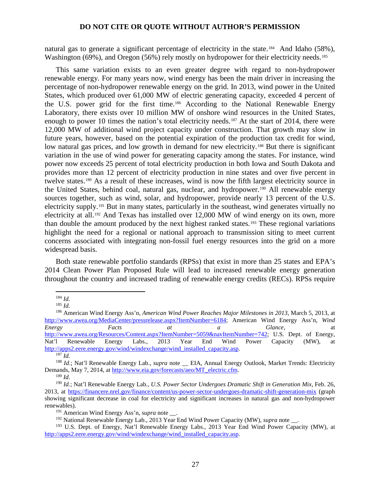natural gas to generate a significant percentage of electricity in the state.<sup>[184](#page-26-0)</sup> And Idaho (58%), Washington (69%), and Oregon (56%) rely mostly on hydropower for their electricity needs.<sup>[185](#page-26-1)</sup>

This same variation exists to an even greater degree with regard to non-hydropower renewable energy. For many years now, wind energy has been the main driver in increasing the percentage of non-hydropower renewable energy on the grid. In 2013, wind power in the United States, which produced over 61,000 MW of electric generating capacity, exceeded 4 percent of the U.S. power grid for the first time.[186](#page-26-2) According to the National Renewable Energy Laboratory, there exists over 10 million MW of onshore wind resources in the United States, enough to power 10 times the nation's total electricity needs.<sup>[187](#page-26-3)</sup> At the start of 2014, there were 12,000 MW of additional wind project capacity under construction. That growth may slow in future years, however, based on the potential expiration of the production tax credit for wind, low natural gas prices, and low growth in demand for new electricity.<sup>[188](#page-26-4)</sup> But there is significant variation in the use of wind power for generating capacity among the states. For instance, wind power now exceeds 25 percent of total electricity production in both Iowa and South Dakota and provides more than 12 percent of electricity production in nine states and over five percent in twelve states.[189](#page-26-5) As a result of these increases, wind is now the fifth largest electricity source in the United States, behind coal, natural gas, nuclear, and hydropower.<sup>[190](#page-26-6)</sup> All renewable energy sources together, such as wind, solar, and hydropower, provide nearly 13 percent of the U.S. electricity supply.<sup>[191](#page-26-7)</sup> But in many states, particularly in the southeast, wind generates virtually no electricity at all.<sup>[192](#page-26-8)</sup> And Texas has installed over 12,000 MW of wind energy on its own, more than double the amount produced by the next highest ranked states.[193](#page-26-9) These regional variations highlight the need for a regional or national approach to transmission siting to meet current concerns associated with integrating non-fossil fuel energy resources into the grid on a more widespread basis.

Both state renewable portfolio standards (RPSs) that exist in more than 25 states and EPA's 2014 Clean Power Plan Proposed Rule will lead to increased renewable energy generation throughout the country and increased trading of renewable energy credits (RECs). RPSs require

<sup>184</sup> *Id.*

<sup>185</sup> *Id.*

<span id="page-26-2"></span><span id="page-26-1"></span><span id="page-26-0"></span><sup>186</sup> American Wind Energy Ass'n, *American Wind Power Reaches Major Milestones in 2013*, March 5, 2013, at [http://www.awea.org/MediaCenter/pressrelease.aspx?ItemNumber=6184;](http://www.awea.org/MediaCenter/pressrelease.aspx?ItemNumber=6184) American Wind Energy Ass'n, *Wind Energy Facts at a Glance*, at *a Glance*, at [http://www.awea.org/Resources/Content.aspx?ItemNumber=5059&navItemNumber=742;](http://www.awea.org/Resources/Content.aspx?ItemNumber=5059&navItemNumber=742) U.S. Dept. of Energy, Nat'l Renewable Energy Labs., 2013 Year End Wind Power Capacity (MW), at [http://apps2.eere.energy.gov/wind/windexchange/wind\\_installed\\_capacity.asp.](http://apps2.eere.energy.gov/wind/windexchange/wind_installed_capacity.asp) 187 *Id.*

<span id="page-26-4"></span><span id="page-26-3"></span><sup>&</sup>lt;sup>188</sup> *Id.*; Nat'l Renewable Energy Lab., *supra* note \_\_ EIA, Annual Energy Outlook, Market Trends: Electricity Demands, May 7, 2014, at [http://www.eia.gov/forecasts/aeo/MT\\_electric.cfm.](http://www.eia.gov/forecasts/aeo/MT_electric.cfm) 189 *Id.*

<span id="page-26-6"></span><span id="page-26-5"></span><sup>190</sup> *Id.*; Nat'l Renewable Energy Lab., *U.S. Power Sector Undergoes Dramatic Shift in Generation Mix*, Feb. 26, 2013, at<https://financere.nrel.gov/finance/content/us-power-sector-undergoes-dramatic-shift-generation-mix> (graph showing significant decrease in coal for electricity and significant increases in natural gas and non-hydropower renewables).

<sup>&</sup>lt;sup>191</sup> American Wind Energy Ass'n, *supra* note \_\_.

<sup>&</sup>lt;sup>192</sup> National Renewable Energy Lab., 2013 Year End Wind Power Capacity (MW), *supra* note \_\_\_.

<span id="page-26-9"></span><span id="page-26-8"></span><span id="page-26-7"></span><sup>&</sup>lt;sup>193</sup> U.S. Dept. of Energy, Nat'l Renewable Energy Labs., 2013 Year End Wind Power Capacity (MW), at [http://apps2.eere.energy.gov/wind/windexchange/wind\\_installed\\_capacity.asp.](http://apps2.eere.energy.gov/wind/windexchange/wind_installed_capacity.asp)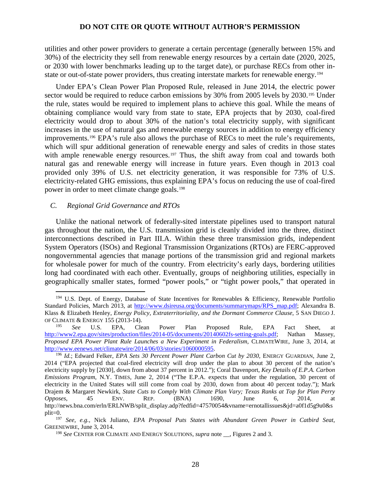utilities and other power providers to generate a certain percentage (generally between 15% and 30%) of the electricity they sell from renewable energy resources by a certain date (2020, 2025, or 2030 with lower benchmarks leading up to the target date), or purchase RECs from other instate or out-of-state power providers, thus creating interstate markets for renewable energy.[194](#page-27-0)

Under EPA's Clean Power Plan Proposed Rule, released in June 2014, the electric power sector would be required to reduce carbon emissions by 30% from 2005 levels by 2030.<sup>[195](#page-27-1)</sup> Under the rule, states would be required to implement plans to achieve this goal. While the means of obtaining compliance would vary from state to state, EPA projects that by 2030, coal-fired electricity would drop to about 30% of the nation's total electricity supply, with significant increases in the use of natural gas and renewable energy sources in addition to energy efficiency improvements.[196](#page-27-2) EPA's rule also allows the purchase of RECs to meet the rule's requirements, which will spur additional generation of renewable energy and sales of credits in those states with ample renewable energy resources.<sup>[197](#page-27-3)</sup> Thus, the shift away from coal and towards both natural gas and renewable energy will increase in future years. Even though in 2013 coal provided only 39% of U.S. net electricity generation, it was responsible for 73% of U.S. electricity-related GHG emissions, thus explaining EPA's focus on reducing the use of coal-fired power in order to meet climate change goals.[198](#page-27-4)

### *C. Regional Grid Governance and RTOs*

 $\overline{a}$ 

Unlike the national network of federally-sited interstate pipelines used to transport natural gas throughout the nation, the U.S. transmission grid is cleanly divided into the three, distinct interconnections described in Part III.A. Within these three transmission grids, independent System Operators (ISOs) and Regional Transmission Organizations (RTOs) are FERC-approved nongovernmental agencies that manage portions of the transmission grid and regional markets for wholesale power for much of the country. From electricity's early days, bordering utilities long had coordinated with each other. Eventually, groups of neighboring utilities, especially in geographically smaller states, formed "power pools," or "tight power pools," that operated in

<span id="page-27-0"></span><sup>&</sup>lt;sup>194</sup> U.S. Dept. of Energy, Database of State Incentives for Renewables & Efficiency, Renewable Portfolio Standard Policies, March 2013, at [http://www.dsireusa.org/documents/summarymaps/RPS\\_map.pdf;](http://www.dsireusa.org/documents/summarymaps/RPS_map.pdf) Alexandra B. Klass & Elizabeth Henley, *Energy Policy, Extraterritoriality, and the Dormant Commerce Clause*, 5 SAN DIEGO J. OF CLIMATE & ENERGY 155 (2013-14).

<span id="page-27-1"></span><sup>195</sup> *See* U.S. EPA, Clean Power Plan Proposed Rule, EPA Fact Sheet, at [http://www2.epa.gov/sites/production/files/2014-05/documents/20140602fs-setting-goals.pdf;](http://www2.epa.gov/sites/production/files/2014-05/documents/20140602fs-setting-goals.pdf) Nathan Massey, *Proposed EPA Power Plant Rule Launches a New Experiment in Federalism*, CLIMATEWIRE, June 3, 2014, at [http://www.eenews.net/climatewire/2014/06/03/stories/1060000595.](http://www.eenews.net/climatewire/2014/06/03/stories/1060000595)<br><sup>196</sup> *Id.*; Edward Felker, *EPA Sets 30 Percent Power Plant Carbon Cut by 2030*, ENERGY GUARDIAN, June 2,

<span id="page-27-2"></span><sup>2014 (&</sup>quot;EPA projected that coal-fired electricity will drop under the plan to about 30 percent of the nation's electricity supply by [2030], down from about 37 percent in 2012."); Coral Davenport, *Key Details of E.P.A. Carbon Emissions Program*, N.Y. TIMES, June 2, 2014 ("The E.P.A. expects that under the regulation, 30 percent of electricity in the United States will still come from coal by 2030, down from about 40 percent today."); Mark Drajem & Margaret Newkirk, *State Cuts to Comply With Climate Plan Vary; Texas Ranks at Top for Plan Perry Opposes*, 45 ENV. REP. (BNA) 1690, June 6, 2014, at http://news.bna.com/erln/ERLNWB/split\_display.adp?fedfid=47570054&vname=ernotallissues&jd=a0f1d5g9u0&s  $\nu$ lit=0.

<span id="page-27-4"></span><span id="page-27-3"></span><sup>197</sup> *See, e.g.,* Nick Juliano, *EPA Proposal Puts States with Abundant Green Power in Catbird Seat*, GREENEWIRE, June 3, 2014.

<sup>198</sup> *See* CENTER FOR CLIMATE AND ENERGY SOLUTIONS, *supra* note \_\_, Figures 2 and 3.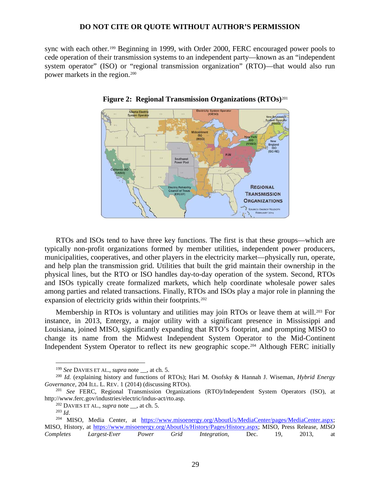sync with each other.[199](#page-28-0) Beginning in 1999, with Order 2000, FERC encouraged power pools to cede operation of their transmission systems to an independent party—known as an "independent system operator" (ISO) or "regional transmission organization" (RTO)—that would also run power markets in the region. [200](#page-28-1)



**Figure 2: Regional Transmission Organizations (RTOs)**[201](#page-28-2)

RTOs and ISOs tend to have three key functions. The first is that these groups—which are typically non-profit organizations formed by member utilities, independent power producers, municipalities, cooperatives, and other players in the electricity market—physically run, operate, and help plan the transmission grid. Utilities that built the grid maintain their ownership in the physical lines, but the RTO or ISO handles day-to-day operation of the system. Second, RTOs and ISOs typically create formalized markets, which help coordinate wholesale power sales among parties and related transactions. Finally, RTOs and ISOs play a major role in planning the expansion of electricity grids within their footprints.<sup>[202](#page-28-3)</sup>

Membership in RTOs is voluntary and utilities may join RTOs or leave them at will.<sup>[203](#page-28-4)</sup> For instance, in 2013, Entergy, a major utility with a significant presence in Mississippi and Louisiana, joined MISO, significantly expanding that RTO's footprint, and prompting MISO to change its name from the Midwest Independent System Operator to the Mid-Continent Independent System Operator to reflect its new geographic scope.<sup>[204](#page-28-5)</sup> Although FERC initially

<sup>199</sup> *See* DAVIES ET AL., *supra* note \_\_, at ch. 5.

<span id="page-28-1"></span><span id="page-28-0"></span><sup>200</sup> *Id.* (explaining history and functions of RTOs); Hari M. Osofsky & Hannah J. Wiseman, *Hybrid Energy Governance*, 204 ILL. L. REV. 1 (2014) (discussing RTOs).

<span id="page-28-3"></span><span id="page-28-2"></span><sup>201</sup> *See* FERC, Regional Transmission Organizations (RTO)/Independent System Operators (ISO), at http://www.ferc.gov/industries/electric/indus-act/rto.asp.

<sup>202</sup> DAVIES ET AL., *supra* note \_\_, at ch. 5.

<sup>203</sup> *Id*.

<span id="page-28-5"></span><span id="page-28-4"></span><sup>&</sup>lt;sup>204</sup> MISO, Media Center, at [https://www.misoenergy.org/AboutUs/MediaCenter/pages/MediaCenter.aspx;](https://www.misoenergy.org/AboutUs/MediaCenter/pages/MediaCenter.aspx) MISO, History, at [https://www.misoenergy.org/AboutUs/History/Pages/History.aspx;](https://www.misoenergy.org/AboutUs/History/Pages/History.aspx) MISO, Press Release, *MISO Completes Largest-Ever Power Grid Integration*, Dec. 19, 2013, at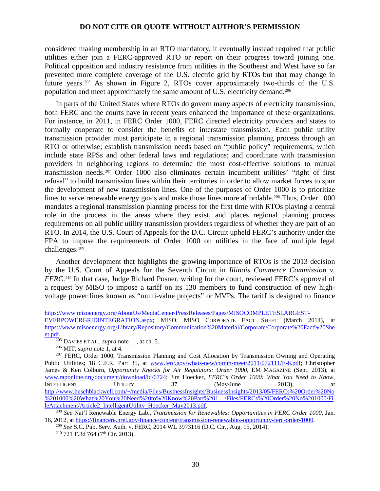considered making membership in an RTO mandatory, it eventually instead required that public utilities either join a FERC-approved RTO or report on their progress toward joining one. Political opposition and industry resistance from utilities in the Southeast and West have so far prevented more complete coverage of the U.S. electric grid by RTOs but that may change in future years.[205](#page-29-0) As shown in Figure 2, RTOs cover approximately two-thirds of the U.S. population and meet approximately the same amount of U.S. electricity demand.[206](#page-29-1)

In parts of the United States where RTOs do govern many aspects of electricity transmission, both FERC and the courts have in recent years enhanced the importance of these organizations. For instance, in 2011, in FERC Order 1000, FERC directed electricity providers and states to formally cooperate to consider the benefits of interstate transmission. Each public utility transmission provider must participate in a regional transmission planning process through an RTO or otherwise; establish transmission needs based on "public policy" requirements, which include state RPSs and other federal laws and regulations; and coordinate with transmission providers in neighboring regions to determine the most cost-effective solutions to mutual transmission needs.[207](#page-29-2) Order 1000 also eliminates certain incumbent utilities' "right of first refusal" to build transmission lines within their territories in order to allow market forces to spur the development of new transmission lines. One of the purposes of Order 1000 is to prioritize lines to serve renewable energy goals and make those lines more affordable.<sup>[208](#page-29-3)</sup> Thus, Order 1000 mandates a regional transmission planning process for the first time with RTOs playing a central role in the process in the areas where they exist, and places regional planning process requirements on all public utility transmission providers regardless of whether they are part of an RTO. In 2014, the U.S. Court of Appeals for the D.C. Circuit upheld FERC's authority under the FPA to impose the requirements of Order 1000 on utilities in the face of multiple legal challenges.[209](#page-29-4)

Another development that highlights the growing importance of RTOs is the 2013 decision by the U.S. Court of Appeals for the Seventh Circuit in *Illinois Commerce Commission v. FERC*.<sup>[210](#page-29-5)</sup> In that case, Judge Richard Posner, writing for the court, reviewed FERC's approval of a request by MISO to impose a tariff on its 130 members to fund construction of new highvoltage power lines known as "multi-value projects" or MVPs. The tariff is designed to finance

[https://www.misoenergy.org/AboutUs/MediaCenter/PressReleases/Pages/MISOCOMPLETESLARGEST-](https://www.misoenergy.org/AboutUs/MediaCenter/PressReleases/Pages/MISOCOMPLETESLARGEST-EVERPOWERGRIDINTEGRATION.aspx)[EVERPOWERGRIDINTEGRATION.aspx;](https://www.misoenergy.org/AboutUs/MediaCenter/PressReleases/Pages/MISOCOMPLETESLARGEST-EVERPOWERGRIDINTEGRATION.aspx) MISO, MISO CORPORATE FACT SHEET (March 2014), at [https://www.misoenergy.org/Library/Repository/Communication%20Material/Corporate/Corporate%20Fact%20She](https://www.misoenergy.org/Library/Repository/Communication%20Material/Corporate/Corporate%20Fact%20Sheet.pdf) [et.pdf.](https://www.misoenergy.org/Library/Repository/Communication%20Material/Corporate/Corporate%20Fact%20Sheet.pdf)

<sup>205</sup> DAVIES ET AL., *supra* note \_\_, at ch. 5.

<sup>206</sup> MIT, *supra* note 1, at 4.

<span id="page-29-2"></span><span id="page-29-1"></span><span id="page-29-0"></span><sup>&</sup>lt;sup>207</sup> FERC, Order 1000, Transmission Planning and Cost Allocation by Transmission Owning and Operating Public Utilities; 18 C.F.R. Part 35, at [www.ferc.gov/whats-new/comm-meet/2011/072111/E-6.pdf;](http://www.ferc.gov/whats-new/comm-meet/2011/072111/E-6.pdf) Christopher James & Ken Colburn, *Opportunity Knocks for Air Regulators: Order 1000*, EM MAGAZINE (Sept. 2013), at [www.raponline.org/document/download/id/6724;](http://www.raponline.org/document/download/id/6724) Jim Hoecker, *FERC's Order 1000: What You Need to Know*, INTELLIGENT UTILITY 37 (May/June 2013), at [http://www.huschblackwell.com/~/media/Files/BusinessInsights/BusinessInsights/2013/05/FERCs%20Order%20No](http://www.huschblackwell.com/%7E/media/Files/BusinessInsights/BusinessInsights/2013/05/FERCs%20Order%20No%201000%20What%20You%20Need%20to%20Know%20Part%201__/Files/FERCs%20Order%20No%201000/FileAttachment/Article2_IntelligentUtility_Hoecker_May2013.pdf) %201000%20What%20You%20Need%20to%20Know%20Part%201\_/Files/FERCs%20Order%20No%201000/FileAttachment/Article2\_IntelligentUtility\_Hoecker\_May2013.pdf.

<span id="page-29-3"></span><sup>&</sup>lt;sup>208</sup> See Nat'l Renewable Energy Lab., *Transmission for Renewables: Opportunities in FERC Order 1000*, Jan. 16, 2012, at https://financere.nrel.gov/finance/content/transmission-renewables-opportunity-ferc-order-1000.

<span id="page-29-5"></span><span id="page-29-4"></span><sup>&</sup>lt;sup>209</sup> See S.C. Pub. Serv. Auth. v. FERC, 2014 WL 3973116 (D.C. Cir., Aug. 15, 2014). <sup>210</sup> 721 F.3d 764 (7<sup>th</sup> Cir. 2013).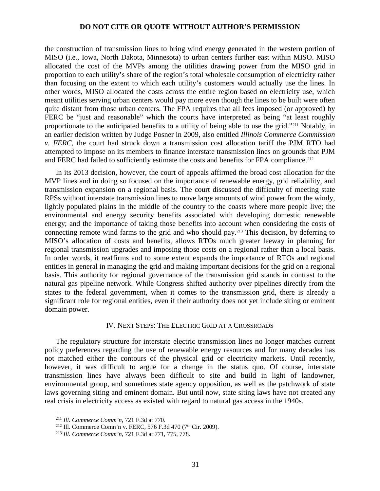the construction of transmission lines to bring wind energy generated in the western portion of MISO (i.e., Iowa, North Dakota, Minnesota) to urban centers further east within MISO. MISO allocated the cost of the MVPs among the utilities drawing power from the MISO grid in proportion to each utility's share of the region's total wholesale consumption of electricity rather than focusing on the extent to which each utility's customers would actually use the lines. In other words, MISO allocated the costs across the entire region based on electricity use, which meant utilities serving urban centers would pay more even though the lines to be built were often quite distant from those urban centers. The FPA requires that all fees imposed (or approved) by FERC be "just and reasonable" which the courts have interpreted as being "at least roughly proportionate to the anticipated benefits to a utility of being able to use the grid."[211](#page-30-0) Notably, in an earlier decision written by Judge Posner in 2009, also entitled *Illinois Commerce Commission v. FERC*, the court had struck down a transmission cost allocation tariff the PJM RTO had attempted to impose on its members to finance interstate transmission lines on grounds that PJM and FERC had failed to sufficiently estimate the costs and benefits for FPA compliance.<sup>[212](#page-30-1)</sup>

In its 2013 decision, however, the court of appeals affirmed the broad cost allocation for the MVP lines and in doing so focused on the importance of renewable energy, grid reliability, and transmission expansion on a regional basis. The court discussed the difficulty of meeting state RPSs without interstate transmission lines to move large amounts of wind power from the windy, lightly populated plains in the middle of the country to the coasts where more people live; the environmental and energy security benefits associated with developing domestic renewable energy; and the importance of taking those benefits into account when considering the costs of connecting remote wind farms to the grid and who should pay.[213](#page-30-2) This decision, by deferring to MISO's allocation of costs and benefits, allows RTOs much greater leeway in planning for regional transmission upgrades and imposing those costs on a regional rather than a local basis. In order words, it reaffirms and to some extent expands the importance of RTOs and regional entities in general in managing the grid and making important decisions for the grid on a regional basis. This authority for regional governance of the transmission grid stands in contrast to the natural gas pipeline network. While Congress shifted authority over pipelines directly from the states to the federal government, when it comes to the transmission grid, there is already a significant role for regional entities, even if their authority does not yet include siting or eminent domain power.

### IV. NEXT STEPS: THE ELECTRIC GRID AT A CROSSROADS

The regulatory structure for interstate electric transmission lines no longer matches current policy preferences regarding the use of renewable energy resources and for many decades has not matched either the contours of the physical grid or electricity markets. Until recently, however, it was difficult to argue for a change in the status quo. Of course, interstate transmission lines have always been difficult to site and build in light of landowner, environmental group, and sometimes state agency opposition, as well as the patchwork of state laws governing siting and eminent domain. But until now, state siting laws have not created any real crisis in electricity access as existed with regard to natural gas access in the 1940s.

<sup>211</sup> *Ill. Commerce Comm'n*, 721 F.3d at 770.

<span id="page-30-1"></span><span id="page-30-0"></span><sup>&</sup>lt;sup>212</sup> Ill. Commerce Comn'n v. FERC, 576 F.3d 470 (7<sup>th</sup> Cir. 2009).

<span id="page-30-2"></span><sup>213</sup> *Ill. Commerce Comm'n*, 721 F.3d at 771, 775, 778.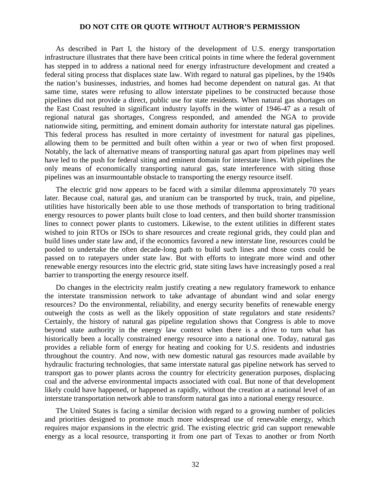As described in Part I, the history of the development of U.S. energy transportation infrastructure illustrates that there have been critical points in time where the federal government has stepped in to address a national need for energy infrastructure development and created a federal siting process that displaces state law. With regard to natural gas pipelines, by the 1940s the nation's businesses, industries, and homes had become dependent on natural gas. At that same time, states were refusing to allow interstate pipelines to be constructed because those pipelines did not provide a direct, public use for state residents. When natural gas shortages on the East Coast resulted in significant industry layoffs in the winter of 1946-47 as a result of regional natural gas shortages, Congress responded, and amended the NGA to provide nationwide siting, permitting, and eminent domain authority for interstate natural gas pipelines. This federal process has resulted in more certainty of investment for natural gas pipelines, allowing them to be permitted and built often within a year or two of when first proposed. Notably, the lack of alternative means of transporting natural gas apart from pipelines may well have led to the push for federal siting and eminent domain for interstate lines. With pipelines the only means of economically transporting natural gas, state interference with siting those pipelines was an insurmountable obstacle to transporting the energy resource itself.

The electric grid now appears to be faced with a similar dilemma approximately 70 years later. Because coal, natural gas, and uranium can be transported by truck, train, and pipeline, utilities have historically been able to use those methods of transportation to bring traditional energy resources to power plants built close to load centers, and then build shorter transmission lines to connect power plants to customers. Likewise, to the extent utilities in different states wished to join RTOs or ISOs to share resources and create regional grids, they could plan and build lines under state law and, if the economics favored a new interstate line, resources could be pooled to undertake the often decade-long path to build such lines and those costs could be passed on to ratepayers under state law. But with efforts to integrate more wind and other renewable energy resources into the electric grid, state siting laws have increasingly posed a real barrier to transporting the energy resource itself.

Do changes in the electricity realm justify creating a new regulatory framework to enhance the interstate transmission network to take advantage of abundant wind and solar energy resources? Do the environmental, reliability, and energy security benefits of renewable energy outweigh the costs as well as the likely opposition of state regulators and state residents? Certainly, the history of natural gas pipeline regulation shows that Congress is able to move beyond state authority in the energy law context when there is a drive to turn what has historically been a locally constrained energy resource into a national one. Today, natural gas provides a reliable form of energy for heating and cooking for U.S. residents and industries throughout the country. And now, with new domestic natural gas resources made available by hydraulic fracturing technologies, that same interstate natural gas pipeline network has served to transport gas to power plants across the country for electricity generation purposes, displacing coal and the adverse environmental impacts associated with coal. But none of that development likely could have happened, or happened as rapidly, without the creation at a national level of an interstate transportation network able to transform natural gas into a national energy resource.

The United States is facing a similar decision with regard to a growing number of policies and priorities designed to promote much more widespread use of renewable energy, which requires major expansions in the electric grid. The existing electric grid can support renewable energy as a local resource, transporting it from one part of Texas to another or from North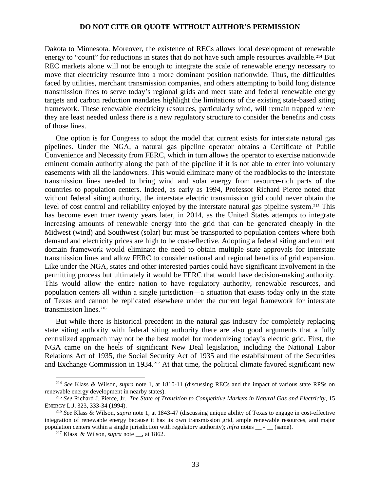Dakota to Minnesota. Moreover, the existence of RECs allows local development of renewable energy to "count" for reductions in states that do not have such ample resources available.<sup>[214](#page-32-0)</sup> But REC markets alone will not be enough to integrate the scale of renewable energy necessary to move that electricity resource into a more dominant position nationwide. Thus, the difficulties faced by utilities, merchant transmission companies, and others attempting to build long distance transmission lines to serve today's regional grids and meet state and federal renewable energy targets and carbon reduction mandates highlight the limitations of the existing state-based siting framework. These renewable electricity resources, particularly wind, will remain trapped where they are least needed unless there is a new regulatory structure to consider the benefits and costs of those lines.

One option is for Congress to adopt the model that current exists for interstate natural gas pipelines. Under the NGA, a natural gas pipeline operator obtains a Certificate of Public Convenience and Necessity from FERC, which in turn allows the operator to exercise nationwide eminent domain authority along the path of the pipeline if it is not able to enter into voluntary easements with all the landowners. This would eliminate many of the roadblocks to the interstate transmission lines needed to bring wind and solar energy from resource-rich parts of the countries to population centers. Indeed, as early as 1994, Professor Richard Pierce noted that without federal siting authority, the interstate electric transmission grid could never obtain the level of cost control and reliability enjoyed by the interstate natural gas pipeline system.<sup>[215](#page-32-1)</sup> This has become even truer twenty years later, in 2014, as the United States attempts to integrate increasing amounts of renewable energy into the grid that can be generated cheaply in the Midwest (wind) and Southwest (solar) but must be transported to population centers where both demand and electricity prices are high to be cost-effective. Adopting a federal siting and eminent domain framework would eliminate the need to obtain multiple state approvals for interstate transmission lines and allow FERC to consider national and regional benefits of grid expansion. Like under the NGA, states and other interested parties could have significant involvement in the permitting process but ultimately it would be FERC that would have decision-making authority. This would allow the entire nation to have regulatory authority, renewable resources, and population centers all within a single jurisdiction—a situation that exists today only in the state of Texas and cannot be replicated elsewhere under the current legal framework for interstate transmission lines.<sup>[216](#page-32-2)</sup>

But while there is historical precedent in the natural gas industry for completely replacing state siting authority with federal siting authority there are also good arguments that a fully centralized approach may not be the best model for modernizing today's electric grid. First, the NGA came on the heels of significant New Deal legislation, including the National Labor Relations Act of 1935, the Social Security Act of 1935 and the establishment of the Securities and Exchange Commission in 1934.<sup>[217](#page-32-3)</sup> At that time, the political climate favored significant new

<span id="page-32-0"></span><sup>214</sup> *See* Klass & Wilson, *supra* note 1, at 1810-11 (discussing RECs and the impact of various state RPSs on renewable energy development in nearby states).

<span id="page-32-1"></span><sup>215</sup> *See* Richard J. Pierce, Jr., *The State of Transition to Competitive Markets in Natural Gas and Electricity*, 15 ENERGY L.J. 323, 333-34 (1994).

<span id="page-32-3"></span><span id="page-32-2"></span><sup>216</sup> *See* Klass & Wilson, *supra* note 1, at 1843-47 (discussing unique ability of Texas to engage in cost-effective integration of renewable energy because it has its own transmission grid, ample renewable resources, and major population centers within a single jurisdiction with regulatory authority); *infra* notes \_\_ - \_\_ (same).

<sup>217</sup> Klass & Wilson, *supra* note \_\_, at 1862.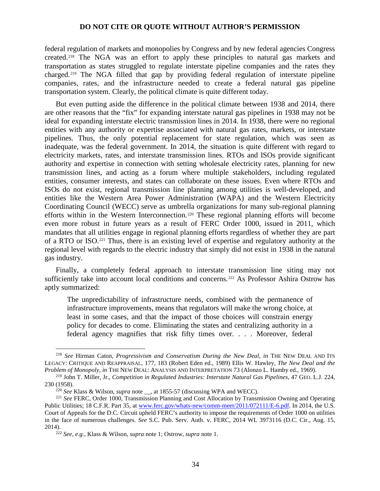federal regulation of markets and monopolies by Congress and by new federal agencies Congress created.[218](#page-33-0) The NGA was an effort to apply these principles to natural gas markets and transportation as states struggled to regulate interstate pipeline companies and the rates they charged.[219](#page-33-1) The NGA filled that gap by providing federal regulation of interstate pipeline companies, rates, and the infrastructure needed to create a federal natural gas pipeline transportation system. Clearly, the political climate is quite different today.

But even putting aside the difference in the political climate between 1938 and 2014, there are other reasons that the "fix" for expanding interstate natural gas pipelines in 1938 may not be ideal for expanding interstate electric transmission lines in 2014. In 1938, there were no regional entities with any authority or expertise associated with natural gas rates, markets, or interstate pipelines. Thus, the only potential replacement for state regulation, which was seen as inadequate, was the federal government. In 2014, the situation is quite different with regard to electricity markets, rates, and interstate transmission lines. RTOs and ISOs provide significant authority and expertise in connection with setting wholesale electricity rates, planning for new transmission lines, and acting as a forum where multiple stakeholders, including regulated entities, consumer interests, and states can collaborate on these issues. Even where RTOs and ISOs do not exist, regional transmission line planning among utilities is well-developed, and entities like the Western Area Power Administration (WAPA) and the Western Electricity Coordinating Council (WECC) serve as umbrella organizations for many sub-regional planning efforts within in the Western Interconnection.<sup>[220](#page-33-2)</sup> These regional planning efforts will become even more robust in future years as a result of FERC Order 1000, issued in 2011, which mandates that all utilities engage in regional planning efforts regardless of whether they are part of a RTO or ISO.[221](#page-33-3) Thus, there is an existing level of expertise and regulatory authority at the regional level with regards to the electric industry that simply did not exist in 1938 in the natural gas industry.

Finally, a completely federal approach to interstate transmission line siting may not sufficiently take into account local conditions and concerns.<sup>[222](#page-33-4)</sup> As Professor Ashira Ostrow has aptly summarized:

The unpredictability of infrastructure needs, combined with the permanence of infrastructure improvements, means that regulators will make the wrong choice, at least in some cases, and that the impact of those choices will constrain energy policy for decades to come. Eliminating the states and centralizing authority in a federal agency magnifies that risk fifty times over. . . . Moreover, federal

<span id="page-33-0"></span><sup>&</sup>lt;sup>218</sup> *See* Hirman Caton, *Progressivism and Conservatism During the New Deal, in* THE NEW DEAL AND ITS LEGACY: CRITIQUE AND REAPPRAISAL, 177, 183 (Robert Eden ed., 1989) Ellis W. Hawley, *The New Deal and the Problem of Monopoly, in* THE NEW DEAL: ANALYSIS AND INTERPRETATION 73 (Alonzo L. Hamby ed., 1969).

<span id="page-33-1"></span><sup>219</sup> John T. Miller, Jr., *Competition in Regulated Industries: Interstate Natural Gas Pipelines*, 47 GEO. L.J. 224, 230 (1958).

<sup>220</sup> *See* Klass & Wilson, *supra* note \_\_, at 1855-57 (discussing WPA and WECC).

<span id="page-33-3"></span><span id="page-33-2"></span><sup>221</sup> *See* FERC, Order 1000, Transmission Planning and Cost Allocation by Transmission Owning and Operating Public Utilities; 18 C.F.R. Part 35, at [www.ferc.gov/whats-new/comm-meet/2011/072111/E-6.pdf.](http://www.ferc.gov/whats-new/comm-meet/2011/072111/E-6.pdf) In 2014, the U.S. Court of Appeals for the D.C. Circuit upheld FERC's authority to impose the requirements of Order 1000 on utilities in the face of numerous challenges. *See* S.C. Pub. Serv. Auth. v. FERC, 2014 WL 3973116 (D.C. Cir., Aug. 15, 2014).

<span id="page-33-4"></span><sup>222</sup> *See, e.g.,* Klass & Wilson, *supra* note 1; Ostrow, *supra* note 1.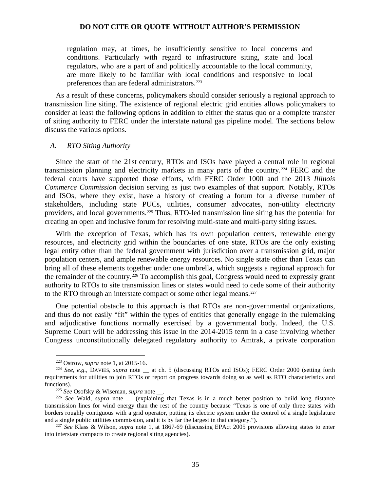regulation may, at times, be insufficiently sensitive to local concerns and conditions. Particularly with regard to infrastructure siting, state and local regulators, who are a part of and politically accountable to the local community, are more likely to be familiar with local conditions and responsive to local preferences than are federal administrators.<sup>[223](#page-34-0)</sup>

As a result of these concerns, policymakers should consider seriously a regional approach to transmission line siting. The existence of regional electric grid entities allows policymakers to consider at least the following options in addition to either the status quo or a complete transfer of siting authority to FERC under the interstate natural gas pipeline model. The sections below discuss the various options.

#### *A. RTO Siting Authority*

Since the start of the 21st century, RTOs and ISOs have played a central role in regional transmission planning and electricity markets in many parts of the country.<sup>[224](#page-34-1)</sup> FERC and the federal courts have supported those efforts, with FERC Order 1000 and the 2013 *Illinois Commerce Commission* decision serving as just two examples of that support. Notably, RTOs and ISOs, where they exist, have a history of creating a forum for a diverse number of stakeholders, including state PUCs, utilities, consumer advocates, non-utility electricity providers, and local governments.[225](#page-34-2) Thus, RTO-led transmission line siting has the potential for creating an open and inclusive forum for resolving multi-state and multi-party siting issues.

With the exception of Texas, which has its own population centers, renewable energy resources, and electricity grid within the boundaries of one state, RTOs are the only existing legal entity other than the federal government with jurisdiction over a transmission grid, major population centers, and ample renewable energy resources. No single state other than Texas can bring all of these elements together under one umbrella, which suggests a regional approach for the remainder of the country.[226](#page-34-3) To accomplish this goal, Congress would need to expressly grant authority to RTOs to site transmission lines or states would need to cede some of their authority to the RTO through an interstate compact or some other legal means.<sup>[227](#page-34-4)</sup>

One potential obstacle to this approach is that RTOs are non-governmental organizations, and thus do not easily "fit" within the types of entities that generally engage in the rulemaking and adjudicative functions normally exercised by a governmental body. Indeed, the U.S. Supreme Court will be addressing this issue in the 2014-2015 term in a case involving whether Congress unconstitutionally delegated regulatory authority to Amtrak, a private corporation

<sup>223</sup> Ostrow, *supra* note 1, at 2015-16.

<span id="page-34-1"></span><span id="page-34-0"></span><sup>&</sup>lt;sup>224</sup> See, e.g., DAVIES, *supra* note \_\_ at ch. 5 (discussing RTOs and ISOs); FERC Order 2000 (setting forth requirements for utilities to join RTOs or report on progress towards doing so as well as RTO characteristics and functions).

<sup>225</sup> *See* Osofsky & Wiseman, *supra* note \_\_.

<span id="page-34-3"></span><span id="page-34-2"></span><sup>&</sup>lt;sup>226</sup> See Wald, *supra* note \_\_ (explaining that Texas is in a much better position to build long distance transmission lines for wind energy than the rest of the country because "Texas is one of only three states with borders roughly contiguous with a grid operator, putting its electric system under the control of a single legislature and a single public utilities commission, and it is by far the largest in that category.").

<span id="page-34-4"></span><sup>227</sup> *See* Klass & Wilson, *supra* note 1, at 1867-69 (discussing EPAct 2005 provisions allowing states to enter into interstate compacts to create regional siting agencies).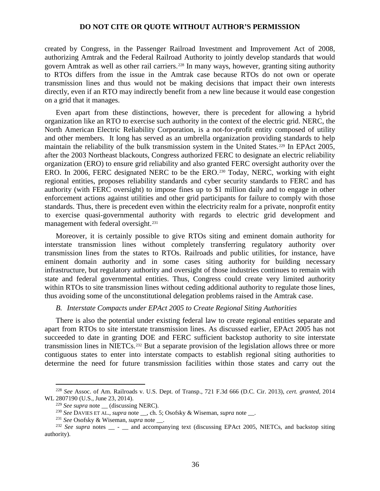created by Congress, in the Passenger Railroad Investment and Improvement Act of 2008, authorizing Amtrak and the Federal Railroad Authority to jointly develop standards that would govern Amtrak as well as other rail carriers.<sup>[228](#page-35-0)</sup> In many ways, however, granting siting authority to RTOs differs from the issue in the Amtrak case because RTOs do not own or operate transmission lines and thus would not be making decisions that impact their own interests directly, even if an RTO may indirectly benefit from a new line because it would ease congestion on a grid that it manages.

Even apart from these distinctions, however, there is precedent for allowing a hybrid organization like an RTO to exercise such authority in the context of the electric grid. NERC, the North American Electric Reliability Corporation, is a not-for-profit entity composed of utility and other members. It long has served as an umbrella organization providing standards to help maintain the reliability of the bulk transmission system in the United States.<sup>[229](#page-35-1)</sup> In EPAct 2005, after the 2003 Northeast blackouts, Congress authorized FERC to designate an electric reliability organization (ERO) to ensure grid reliability and also granted FERC oversight authority over the ERO. In 2006, FERC designated NERC to be the ERO.<sup>[230](#page-35-2)</sup> Today, NERC, working with eight regional entities, proposes reliability standards and cyber security standards to FERC and has authority (with FERC oversight) to impose fines up to \$1 million daily and to engage in other enforcement actions against utilities and other grid participants for failure to comply with those standards. Thus, there is precedent even within the electricity realm for a private, nonprofit entity to exercise quasi-governmental authority with regards to electric grid development and management with federal oversight.<sup>[231](#page-35-3)</sup>

Moreover, it is certainly possible to give RTOs siting and eminent domain authority for interstate transmission lines without completely transferring regulatory authority over transmission lines from the states to RTOs. Railroads and public utilities, for instance, have eminent domain authority and in some cases siting authority for building necessary infrastructure, but regulatory authority and oversight of those industries continues to remain with state and federal governmental entities. Thus, Congress could create very limited authority within RTOs to site transmission lines without ceding additional authority to regulate those lines, thus avoiding some of the unconstitutional delegation problems raised in the Amtrak case.

#### *B. Interstate Compacts under EPAct 2005 to Create Regional Siting Authorities*

There is also the potential under existing federal law to create regional entities separate and apart from RTOs to site interstate transmission lines. As discussed earlier, EPAct 2005 has not succeeded to date in granting DOE and FERC sufficient backstop authority to site interstate transmission lines in NIETCs.[232](#page-35-4) But a separate provision of the legislation allows three or more contiguous states to enter into interstate compacts to establish regional siting authorities to determine the need for future transmission facilities within those states and carry out the

<span id="page-35-1"></span><span id="page-35-0"></span><sup>228</sup> *See* Assoc. of Am. Railroads v. U.S. Dept. of Transp., 721 F.3d 666 (D.C. Cir. 2013), *cert. granted*, 2014 WL 2807190 (U.S., June 23, 2014).

<sup>&</sup>lt;sup>229</sup> See supra note \_\_ (discussing NERC).

<sup>230</sup> *See* DAVIES ET AL., *supra* note \_\_, ch. 5; Osofsky & Wiseman, *supra* note \_\_.

<sup>231</sup> *See* Osofsky & Wiseman, *supra* note \_\_.

<span id="page-35-4"></span><span id="page-35-3"></span><span id="page-35-2"></span><sup>&</sup>lt;sup>232</sup> *See supra* notes \_\_ - \_\_ and accompanying text (discussing EPAct 2005, NIETCs, and backstop siting authority).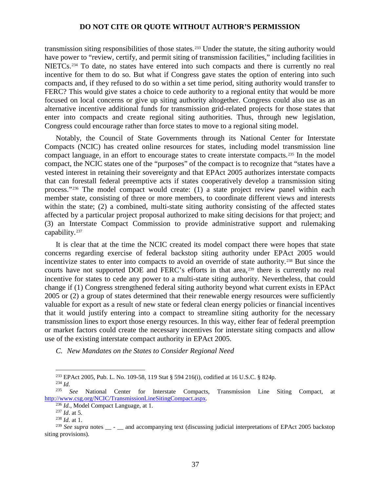transmission siting responsibilities of those states.[233](#page-36-0) Under the statute, the siting authority would have power to "review, certify, and permit siting of transmission facilities," including facilities in NIETCs.[234](#page-36-1) To date, no states have entered into such compacts and there is currently no real incentive for them to do so. But what if Congress gave states the option of entering into such compacts and, if they refused to do so within a set time period, siting authority would transfer to FERC? This would give states a choice to cede authority to a regional entity that would be more focused on local concerns or give up siting authority altogether. Congress could also use as an alternative incentive additional funds for transmission grid-related projects for those states that enter into compacts and create regional siting authorities. Thus, through new legislation, Congress could encourage rather than force states to move to a regional siting model.

Notably, the Council of State Governments through its National Center for Interstate Compacts (NCIC) has created online resources for states, including model transmission line compact language, in an effort to encourage states to create interstate compacts.[235](#page-36-2) In the model compact, the NCIC states one of the "purposes" of the compact is to recognize that "states have a vested interest in retaining their sovereignty and that EPAct 2005 authorizes interstate compacts that can forestall federal preemptive acts if states cooperatively develop a transmission siting process."[236](#page-36-3) The model compact would create: (1) a state project review panel within each member state, consisting of three or more members, to coordinate different views and interests within the state; (2) a combined, multi-state siting authority consisting of the affected states affected by a particular project proposal authorized to make siting decisions for that project; and (3) an Interstate Compact Commission to provide administrative support and rulemaking capability.<sup>[237](#page-36-4)</sup>

It is clear that at the time the NCIC created its model compact there were hopes that state concerns regarding exercise of federal backstop siting authority under EPAct 2005 would incentivize states to enter into compacts to avoid an override of state authority.<sup>[238](#page-36-5)</sup> But since the courts have not supported DOE and FERC's efforts in that area,<sup>[239](#page-36-6)</sup> there is currently no real incentive for states to cede any power to a multi-state siting authority. Nevertheless, that could change if (1) Congress strengthened federal siting authority beyond what current exists in EPAct 2005 or (2) a group of states determined that their renewable energy resources were sufficiently valuable for export as a result of new state or federal clean energy policies or financial incentives that it would justify entering into a compact to streamline siting authority for the necessary transmission lines to export those energy resources. In this way, either fear of federal preemption or market factors could create the necessary incentives for interstate siting compacts and allow use of the existing interstate compact authority in EPAct 2005.

*C. New Mandates on the States to Consider Regional Need*

<sup>&</sup>lt;sup>233</sup> EPAct 2005, Pub. L. No. 109-58, 119 Stat § 594 216(i), codified at 16 U.S.C. § 824p.<br><sup>234</sup> *Id.*  $\frac{1}{235}$  See National Center for Interstate Compacts Transmission I inc

<span id="page-36-3"></span><span id="page-36-2"></span><span id="page-36-1"></span><span id="page-36-0"></span><sup>235</sup> *See* National Center for Interstate Compacts, Transmission Line Siting Compact, at [http://www.csg.org/NCIC/TransmissionLineSitingCompact.aspx.](http://www.csg.org/NCIC/TransmissionLineSitingCompact.aspx) 236 *Id.*, Model Compact Language, at 1. 237 *Id*. at 5.

<sup>238</sup> *Id.* at 1.

<span id="page-36-6"></span><span id="page-36-5"></span><span id="page-36-4"></span><sup>&</sup>lt;sup>239</sup> See supra notes <sub>\_\_</sub> - \_<sub>\_</sub> and accompanying text (discussing judicial interpretations of EPAct 2005 backstop siting provisions).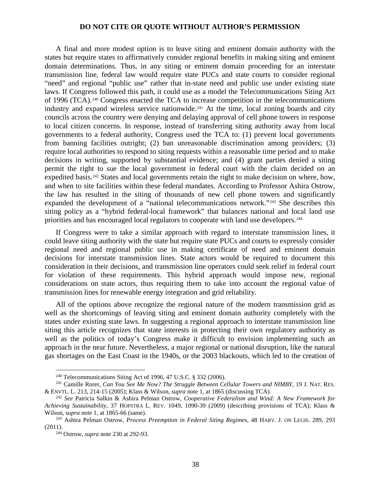A final and more modest option is to leave siting and eminent domain authority with the states but require states to affirmatively consider regional benefits in making siting and eminent domain determinations. Thus, in any siting or eminent domain proceeding for an interstate transmission line, federal law would require state PUCs and state courts to consider regional "need" and regional "public use" rather that in-state need and public use under existing state laws. If Congress followed this path, it could use as a model the Telecommunications Siting Act of 1996 (TCA).<sup>[240](#page-37-0)</sup> Congress enacted the TCA to increase competition in the telecommunications industry and expand wireless service nationwide.<sup>[241](#page-37-1)</sup> At the time, local zoning boards and city councils across the country were denying and delaying approval of cell phone towers in response to local citizen concerns. In response, instead of transferring siting authority away from local governments to a federal authority, Congress used the TCA to: (1) prevent local governments from banning facilities outright; (2) ban unreasonable discrimination among providers; (3) require local authorities to respond to siting requests within a reasonable time period and to make decisions in writing, supported by substantial evidence; and (4) grant parties denied a siting permit the right to sue the local government in federal court with the claim decided on an expedited basis.<sup>[242](#page-37-2)</sup> States and local governments retain the right to make decision on where, how, and when to site facilities within these federal mandates. According to Professor Ashira Ostrow, the law has resulted in the siting of thousands of new cell phone towers and significantly expanded the development of a "national telecommunications network."[243](#page-37-3) She describes this siting policy as a "hybrid federal-local framework" that balances national and local land use priorities and has encouraged local regulators to cooperate with land use developers.<sup>[244](#page-37-4)</sup>

If Congress were to take a similar approach with regard to interstate transmission lines, it could leave siting authority with the state but require state PUCs and courts to expressly consider regional need and regional public use in making certificate of need and eminent domain decisions for interstate transmission lines. State actors would be required to document this consideration in their decisions, and transmission line operators could seek relief in federal court for violation of these requirements. This hybrid approach would impose new, regional considerations on state actors, thus requiring them to take into account the regional value of transmission lines for renewable energy integration and grid reliability.

All of the options above recognize the regional nature of the modern transmission grid as well as the shortcomings of leaving siting and eminent domain authority completely with the states under existing state laws. In suggesting a regional approach to interstate transmission line siting this article recognizes that state interests in protecting their own regulatory authority as well as the politics of today's Congress make it difficult to envision implementing such an approach in the near future. Nevertheless, a major regional or national disruption, like the natural gas shortages on the East Coast in the 1940s, or the 2003 blackouts, which led to the creation of

<sup>240</sup> Telecommunications Siting Act of 1996, 47 U.S.C. § 332 (2006).

<span id="page-37-1"></span><span id="page-37-0"></span><sup>241</sup> Camille Rorer, *Can You See Me Now? The Struggle Between Cellular Towers and NIMBY*, 19 J. NAT. RES. & ENVTL. L. 213, 214-15 (2005); Klass & Wilson, *supra* note 1, at 1865 (discussing TCA).

<span id="page-37-2"></span><sup>242</sup> *See* Patricia Salkin & Ashira Pelman Ostrow, *Cooperative Federalism and Wind: A New Framework for Achieving Sustainability*, 37 HOFSTRA L. REV. 1049, 1090-39 (2009) (describing provisions of TCA); Klass & Wilson*, supra* note 1, at 1865-66 (same).

<span id="page-37-4"></span><span id="page-37-3"></span><sup>243</sup> Ashira Pelman Ostrow, *Process Preemption in Federal Siting Regimes*, 48 HARV. J. ON LEGIS. 289, 293 (2011).

<sup>244</sup> Ostrow, *supra* note 230 at 292-93.